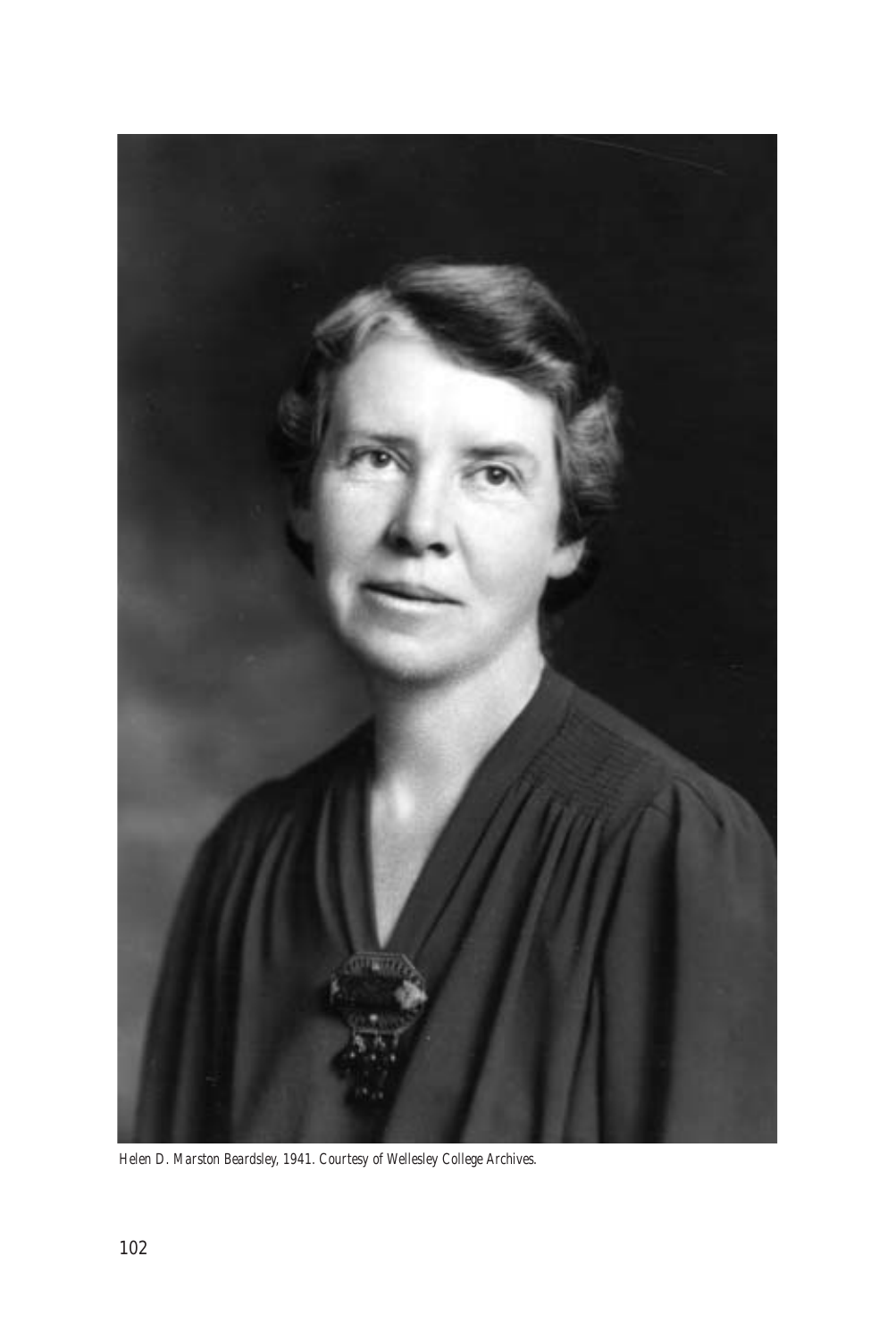

*Helen D. Marston Beardsley, 1941. Courtesy of Wellesley College Archives.*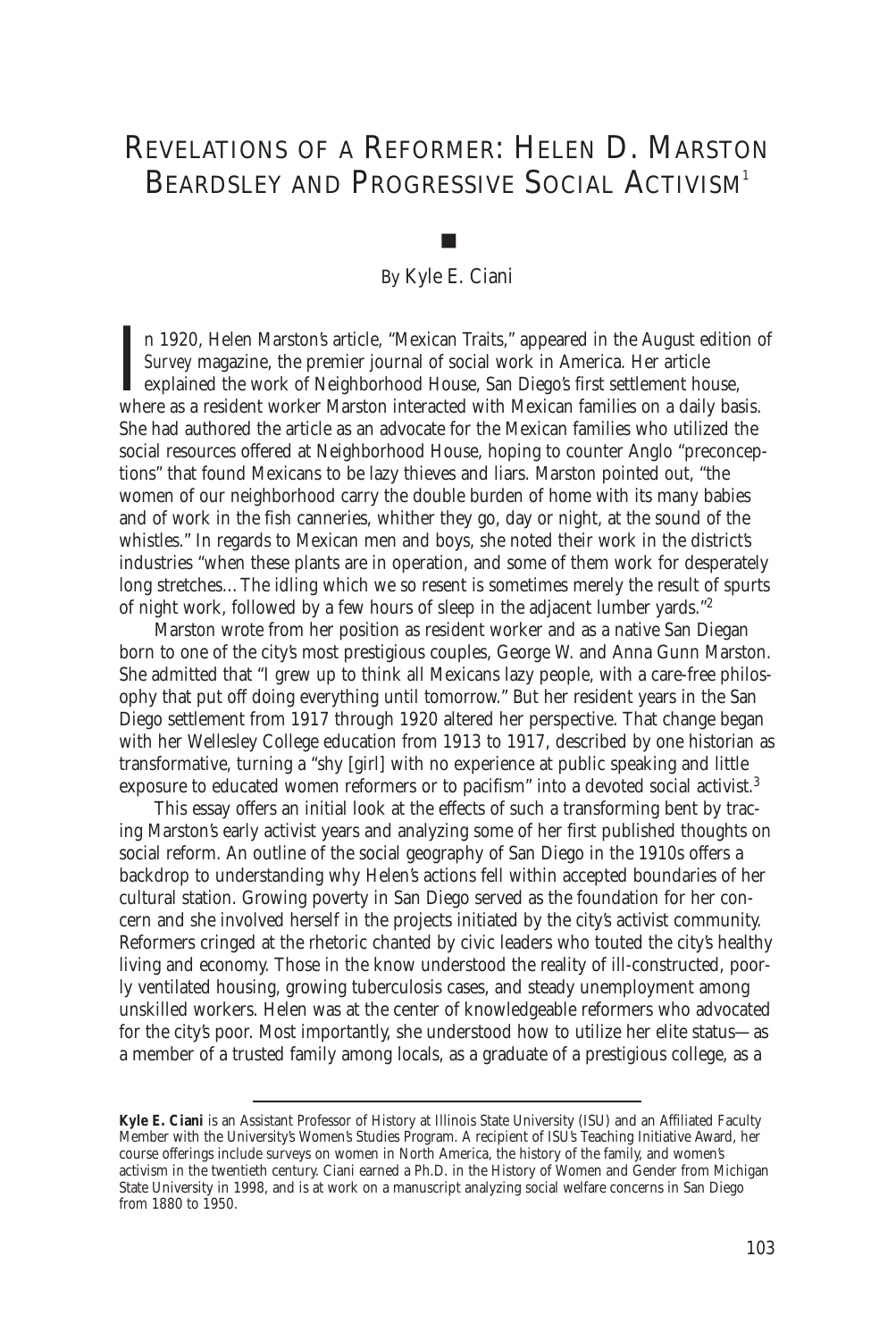# REVELATIONS OF A REFORMER: HELEN D. MARSTON BEARDSLEY AND PROGRESSIVE SOCIAL ACTIVISM<sup>1</sup>

### By Kyle E. Ciani

■

I<sub>wh</sub> n 1920, Helen Marston's article, "Mexican Traits," appeared in the August edition of *Survey* magazine, the premier journal of social work in America. Her article explained the work of Neighborhood House, San Diego's first settlement house, where as a resident worker Marston interacted with Mexican families on a daily basis. She had authored the article as an advocate for the Mexican families who utilized the social resources offered at Neighborhood House, hoping to counter Anglo "preconceptions" that found Mexicans to be lazy thieves and liars. Marston pointed out, "the women of our neighborhood carry the double burden of home with its many babies and of work in the fish canneries, whither they go, day or night, at the sound of the whistles." In regards to Mexican men and boys, she noted their work in the district's industries "when these plants are in operation, and some of them work for desperately long stretches…The idling which we so resent is sometimes merely the result of spurts of night work, followed by a few hours of sleep in the adjacent lumber yards."<sup>2</sup>

Marston wrote from her position as resident worker and as a native San Diegan born to one of the city's most prestigious couples, George W. and Anna Gunn Marston. She admitted that "I grew up to think all Mexicans lazy people, with a care-free philosophy that put off doing everything until tomorrow." But her resident years in the San Diego settlement from 1917 through 1920 altered her perspective. That change began with her Wellesley College education from 1913 to 1917, described by one historian as transformative, turning a "shy [girl] with no experience at public speaking and little exposure to educated women reformers or to pacifism" into a devoted social activist.<sup>3</sup>

This essay offers an initial look at the effects of such a transforming bent by tracing Marston's early activist years and analyzing some of her first published thoughts on social reform. An outline of the social geography of San Diego in the 1910s offers a backdrop to understanding why Helen's actions fell within accepted boundaries of her cultural station. Growing poverty in San Diego served as the foundation for her concern and she involved herself in the projects initiated by the city's activist community. Reformers cringed at the rhetoric chanted by civic leaders who touted the city's healthy living and economy. Those in the know understood the reality of ill-constructed, poorly ventilated housing, growing tuberculosis cases, and steady unemployment among unskilled workers. Helen was at the center of knowledgeable reformers who advocated for the city's poor. Most importantly, she understood how to utilize her elite status—as a member of a trusted family among locals, as a graduate of a prestigious college, as a

**Kyle E. Ciani** is an Assistant Professor of History at Illinois State University (ISU) and an Affiliated Faculty Member with the University's Women's Studies Program. A recipient of ISU's Teaching Initiative Award, her course offerings include surveys on women in North America, the history of the family, and women's activism in the twentieth century. Ciani earned a Ph.D. in the History of Women and Gender from Michigan State University in 1998, and is at work on a manuscript analyzing social welfare concerns in San Diego from 1880 to 1950.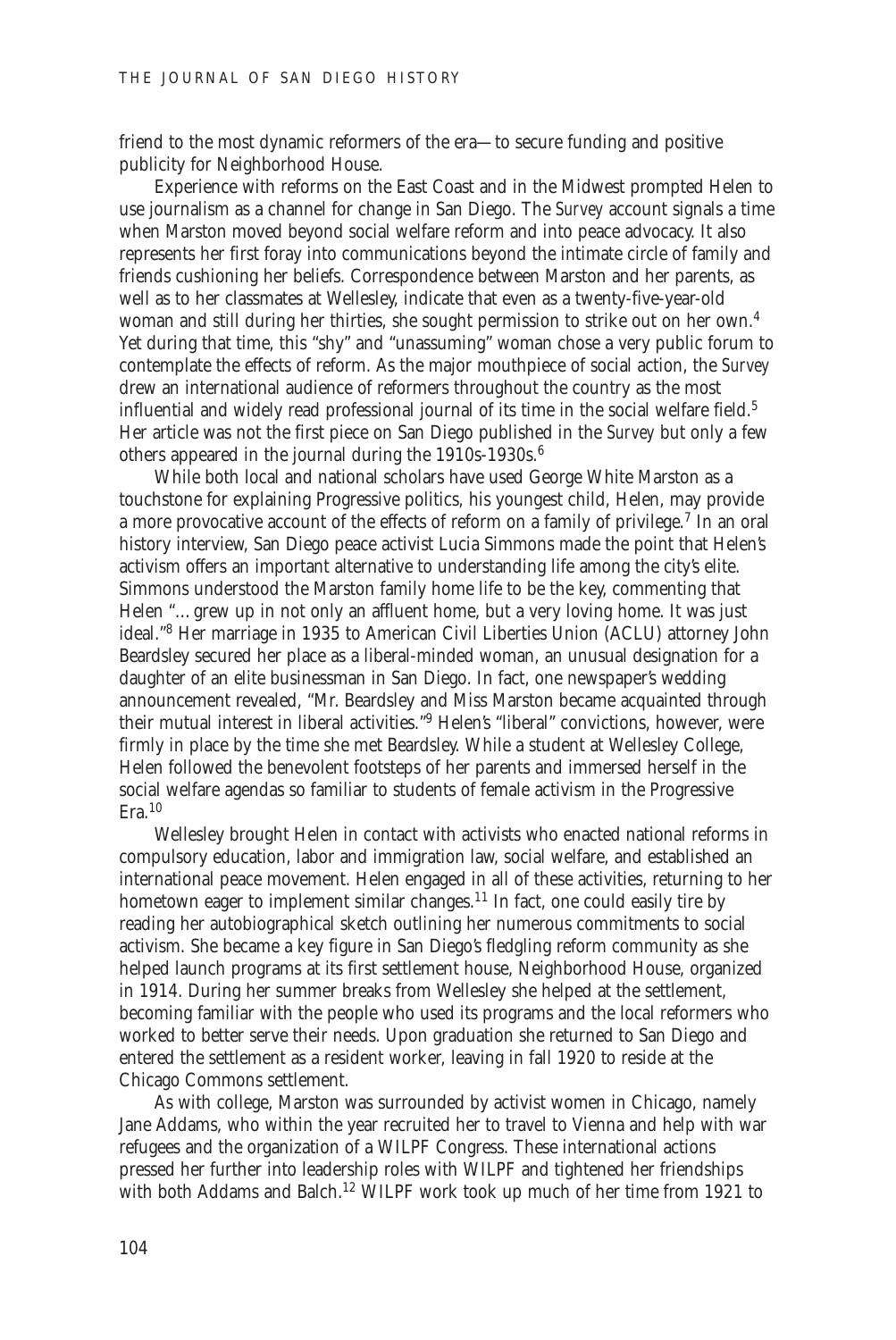friend to the most dynamic reformers of the era—to secure funding and positive publicity for Neighborhood House.

Experience with reforms on the East Coast and in the Midwest prompted Helen to use journalism as a channel for change in San Diego. The *Survey* account signals a time when Marston moved beyond social welfare reform and into peace advocacy. It also represents her first foray into communications beyond the intimate circle of family and friends cushioning her beliefs. Correspondence between Marston and her parents, as well as to her classmates at Wellesley, indicate that even as a twenty-five-year-old woman and still during her thirties, she sought permission to strike out on her own.<sup>4</sup> Yet during that time, this "shy" and "unassuming" woman chose a very public forum to contemplate the effects of reform. As the major mouthpiece of social action, the *Survey* drew an international audience of reformers throughout the country as the most influential and widely read professional journal of its time in the social welfare field.<sup>5</sup> Her article was not the first piece on San Diego published in the *Survey* but only a few others appeared in the journal during the 1910s-1930s.<sup>6</sup>

While both local and national scholars have used George White Marston as a touchstone for explaining Progressive politics, his youngest child, Helen, may provide a more provocative account of the effects of reform on a family of privilege.<sup>7</sup> In an oral history interview, San Diego peace activist Lucia Simmons made the point that Helen's activism offers an important alternative to understanding life among the city's elite. Simmons understood the Marston family home life to be the key, commenting that Helen "…grew up in not only an affluent home, but a very loving home. It was just ideal."8 Her marriage in 1935 to American Civil Liberties Union (ACLU) attorney John Beardsley secured her place as a liberal-minded woman, an unusual designation for a daughter of an elite businessman in San Diego. In fact, one newspaper's wedding announcement revealed, "Mr. Beardsley and Miss Marston became acquainted through their mutual interest in liberal activities."<sup>9</sup> Helen's "liberal" convictions, however, were firmly in place by the time she met Beardsley. While a student at Wellesley College, Helen followed the benevolent footsteps of her parents and immersed herself in the social welfare agendas so familiar to students of female activism in the Progressive  $Era.10$ 

Wellesley brought Helen in contact with activists who enacted national reforms in compulsory education, labor and immigration law, social welfare, and established an international peace movement. Helen engaged in all of these activities, returning to her hometown eager to implement similar changes.<sup>11</sup> In fact, one could easily tire by reading her autobiographical sketch outlining her numerous commitments to social activism. She became a key figure in San Diego's fledgling reform community as she helped launch programs at its first settlement house, Neighborhood House, organized in 1914. During her summer breaks from Wellesley she helped at the settlement, becoming familiar with the people who used its programs and the local reformers who worked to better serve their needs. Upon graduation she returned to San Diego and entered the settlement as a resident worker, leaving in fall 1920 to reside at the Chicago Commons settlement.

As with college, Marston was surrounded by activist women in Chicago, namely Jane Addams, who within the year recruited her to travel to Vienna and help with war refugees and the organization of a WILPF Congress. These international actions pressed her further into leadership roles with WILPF and tightened her friendships with both Addams and Balch.<sup>12</sup> WILPF work took up much of her time from 1921 to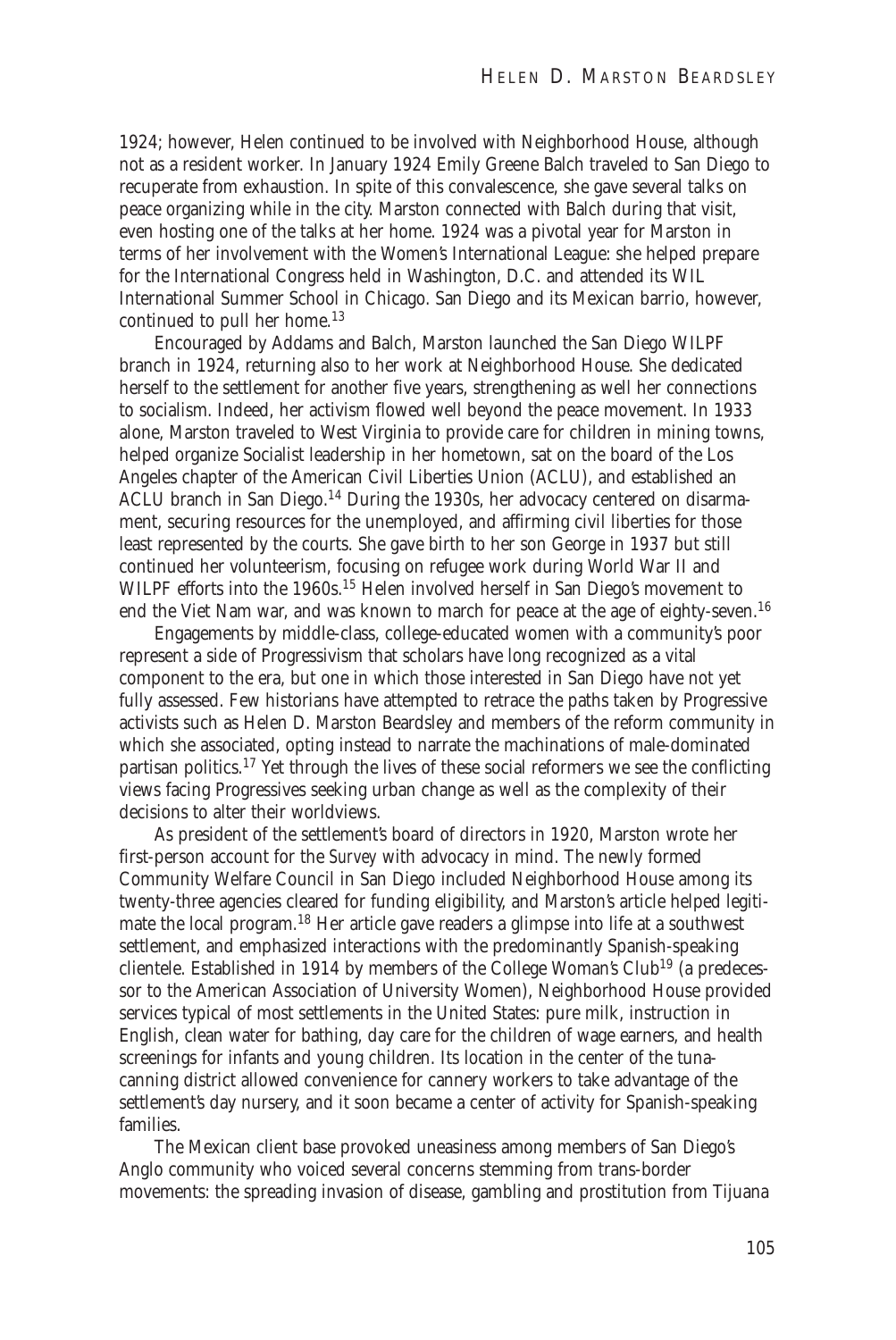1924; however, Helen continued to be involved with Neighborhood House, although not as a resident worker. In January 1924 Emily Greene Balch traveled to San Diego to recuperate from exhaustion. In spite of this convalescence, she gave several talks on peace organizing while in the city. Marston connected with Balch during that visit, even hosting one of the talks at her home. 1924 was a pivotal year for Marston in terms of her involvement with the Women's International League: she helped prepare for the International Congress held in Washington, D.C. and attended its WIL International Summer School in Chicago. San Diego and its Mexican barrio, however, continued to pull her home.<sup>13</sup>

Encouraged by Addams and Balch, Marston launched the San Diego WILPF branch in 1924, returning also to her work at Neighborhood House. She dedicated herself to the settlement for another five years, strengthening as well her connections to socialism. Indeed, her activism flowed well beyond the peace movement. In 1933 alone, Marston traveled to West Virginia to provide care for children in mining towns, helped organize Socialist leadership in her hometown, sat on the board of the Los Angeles chapter of the American Civil Liberties Union (ACLU), and established an ACLU branch in San Diego.<sup>14</sup> During the 1930s, her advocacy centered on disarmament, securing resources for the unemployed, and affirming civil liberties for those least represented by the courts. She gave birth to her son George in 1937 but still continued her volunteerism, focusing on refugee work during World War II and WILPF efforts into the 1960s.<sup>15</sup> Helen involved herself in San Diego's movement to end the Viet Nam war, and was known to march for peace at the age of eighty-seven.<sup>16</sup>

Engagements by middle-class, college-educated women with a community's poor represent a side of Progressivism that scholars have long recognized as a vital component to the era, but one in which those interested in San Diego have not yet fully assessed. Few historians have attempted to retrace the paths taken by Progressive activists such as Helen D. Marston Beardsley and members of the reform community in which she associated, opting instead to narrate the machinations of male-dominated partisan politics.<sup>17</sup> Yet through the lives of these social reformers we see the conflicting views facing Progressives seeking urban change as well as the complexity of their decisions to alter their worldviews.

As president of the settlement's board of directors in 1920, Marston wrote her first-person account for the *Survey* with advocacy in mind. The newly formed Community Welfare Council in San Diego included Neighborhood House among its twenty-three agencies cleared for funding eligibility, and Marston's article helped legitimate the local program.<sup>18</sup> Her article gave readers a glimpse into life at a southwest settlement, and emphasized interactions with the predominantly Spanish-speaking clientele. Established in 1914 by members of the College Woman's Club<sup>19</sup> (a predecessor to the American Association of University Women), Neighborhood House provided services typical of most settlements in the United States: pure milk, instruction in English, clean water for bathing, day care for the children of wage earners, and health screenings for infants and young children. Its location in the center of the tunacanning district allowed convenience for cannery workers to take advantage of the settlement's day nursery, and it soon became a center of activity for Spanish-speaking families.

The Mexican client base provoked uneasiness among members of San Diego's Anglo community who voiced several concerns stemming from trans-border movements: the spreading invasion of disease, gambling and prostitution from Tijuana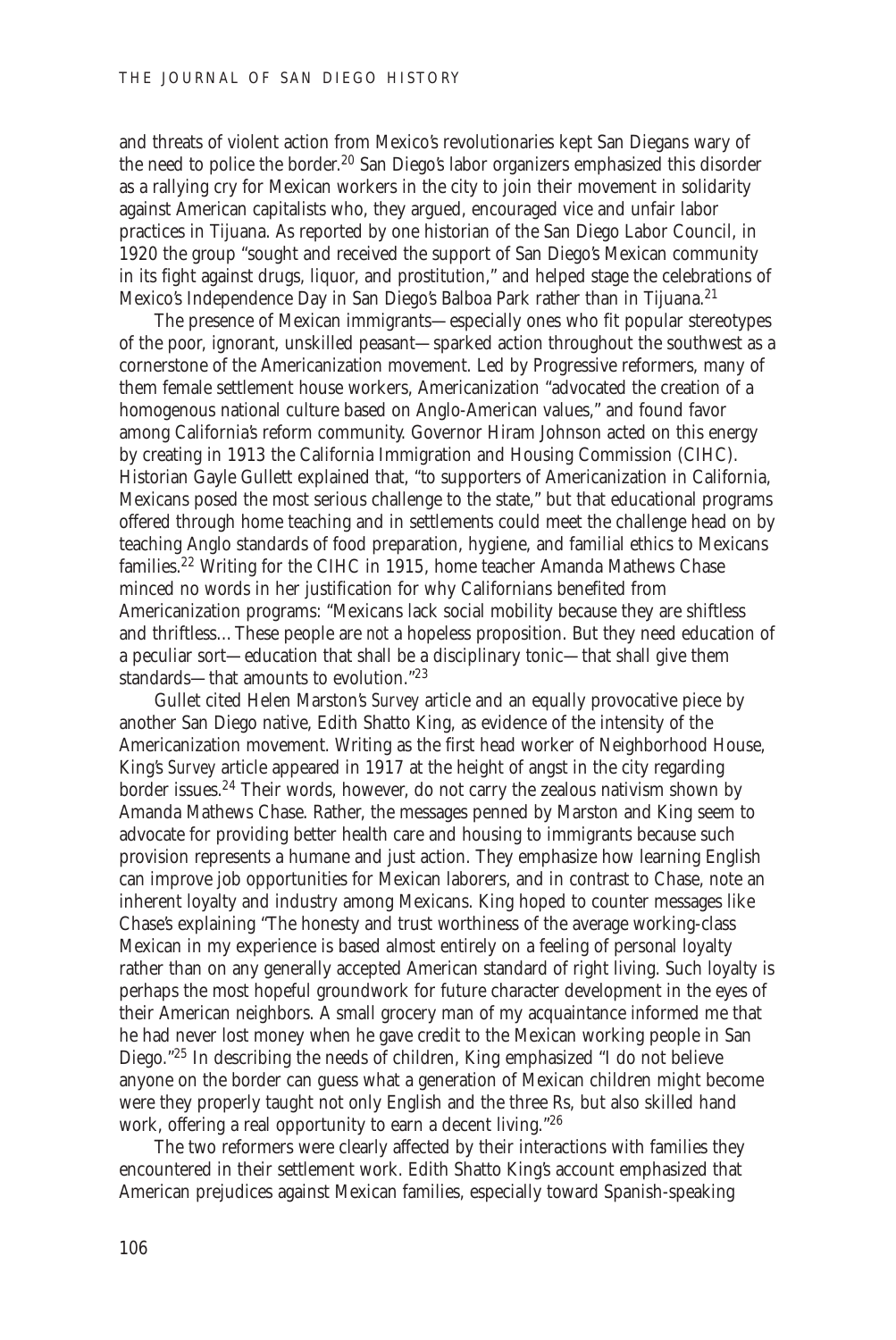and threats of violent action from Mexico's revolutionaries kept San Diegans wary of the need to police the border.<sup>20</sup> San Diego's labor organizers emphasized this disorder as a rallying cry for Mexican workers in the city to join their movement in solidarity against American capitalists who, they argued, encouraged vice and unfair labor practices in Tijuana. As reported by one historian of the San Diego Labor Council, in 1920 the group "sought and received the support of San Diego's Mexican community in its fight against drugs, liquor, and prostitution," and helped stage the celebrations of Mexico's Independence Day in San Diego's Balboa Park rather than in Tijuana.<sup>21</sup>

The presence of Mexican immigrants—especially ones who fit popular stereotypes of the poor, ignorant, unskilled peasant—sparked action throughout the southwest as a cornerstone of the Americanization movement. Led by Progressive reformers, many of them female settlement house workers, Americanization "advocated the creation of a homogenous national culture based on Anglo-American values," and found favor among California's reform community. Governor Hiram Johnson acted on this energy by creating in 1913 the California Immigration and Housing Commission (CIHC). Historian Gayle Gullett explained that, "to supporters of Americanization in California, Mexicans posed the most serious challenge to the state," but that educational programs offered through home teaching and in settlements could meet the challenge head on by teaching Anglo standards of food preparation, hygiene, and familial ethics to Mexicans families.<sup>22</sup> Writing for the CIHC in 1915, home teacher Amanda Mathews Chase minced no words in her justification for why Californians benefited from Americanization programs: "Mexicans lack social mobility because they are shiftless and thriftless…These people are *not* a hopeless proposition. But they need education of a peculiar sort—education that shall be a disciplinary tonic—that shall give them standards—that amounts to evolution."23

Gullet cited Helen Marston's *Survey* article and an equally provocative piece by another San Diego native, Edith Shatto King, as evidence of the intensity of the Americanization movement. Writing as the first head worker of Neighborhood House, King's *Survey* article appeared in 1917 at the height of angst in the city regarding border issues.<sup>24</sup> Their words, however, do not carry the zealous nativism shown by Amanda Mathews Chase. Rather, the messages penned by Marston and King seem to advocate for providing better health care and housing to immigrants because such provision represents a humane and just action. They emphasize how learning English can improve job opportunities for Mexican laborers, and in contrast to Chase, note an inherent loyalty and industry among Mexicans. King hoped to counter messages like Chase's explaining "The honesty and trust worthiness of the average working-class Mexican in my experience is based almost entirely on a feeling of personal loyalty rather than on any generally accepted American standard of right living. Such loyalty is perhaps the most hopeful groundwork for future character development in the eyes of their American neighbors. A small grocery man of my acquaintance informed me that he had never lost money when he gave credit to the Mexican working people in San Diego."<sup>25</sup> In describing the needs of children, King emphasized "I do not believe anyone on the border can guess what a generation of Mexican children might become were they properly taught not only English and the three Rs, but also skilled hand work, offering a real opportunity to earn a decent living."<sup>26</sup>

The two reformers were clearly affected by their interactions with families they encountered in their settlement work. Edith Shatto King's account emphasized that American prejudices against Mexican families, especially toward Spanish-speaking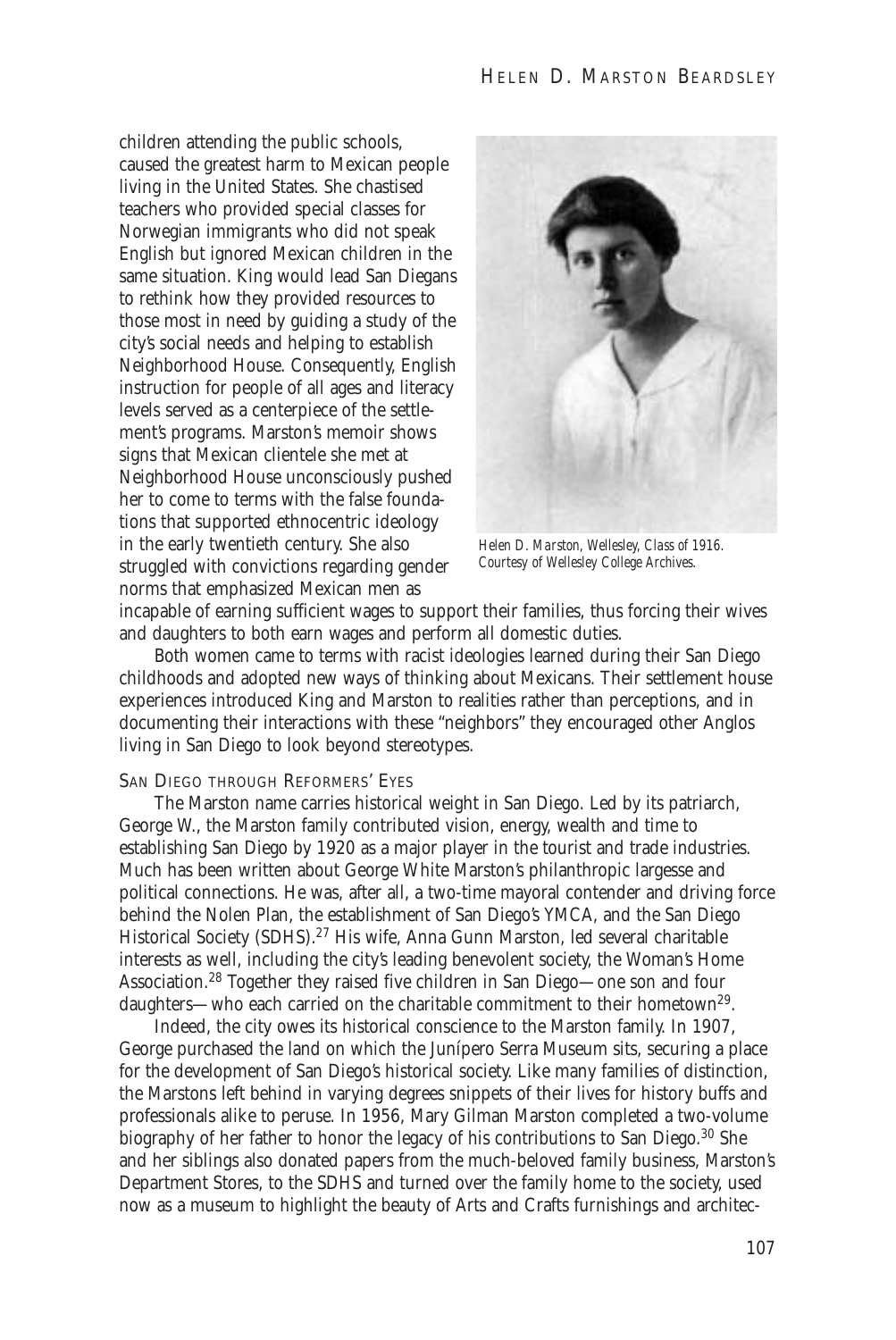children attending the public schools, caused the greatest harm to Mexican people living in the United States. She chastised teachers who provided special classes for Norwegian immigrants who did not speak English but ignored Mexican children in the same situation. King would lead San Diegans to rethink how they provided resources to those most in need by guiding a study of the city's social needs and helping to establish Neighborhood House. Consequently, English instruction for people of all ages and literacy levels served as a centerpiece of the settlement's programs. Marston's memoir shows signs that Mexican clientele she met at Neighborhood House unconsciously pushed her to come to terms with the false foundations that supported ethnocentric ideology in the early twentieth century. She also struggled with convictions regarding gender norms that emphasized Mexican men as



*Helen D. Marston, Wellesley, Class of 1916. Courtesy of Wellesley College Archives.*

incapable of earning sufficient wages to support their families, thus forcing their wives and daughters to both earn wages and perform all domestic duties.

Both women came to terms with racist ideologies learned during their San Diego childhoods and adopted new ways of thinking about Mexicans. Their settlement house experiences introduced King and Marston to realities rather than perceptions, and in documenting their interactions with these "neighbors" they encouraged other Anglos living in San Diego to look beyond stereotypes.

#### SAN DIEGO THROUGH REFORMERS' EYES

The Marston name carries historical weight in San Diego. Led by its patriarch, George W., the Marston family contributed vision, energy, wealth and time to establishing San Diego by 1920 as a major player in the tourist and trade industries. Much has been written about George White Marston's philanthropic largesse and political connections. He was, after all, a two-time mayoral contender and driving force behind the Nolen Plan, the establishment of San Diego's YMCA, and the San Diego Historical Society (SDHS).<sup>27</sup> His wife, Anna Gunn Marston, led several charitable interests as well, including the city's leading benevolent society, the Woman's Home Association.<sup>28</sup> Together they raised five children in San Diego—one son and four daughters—who each carried on the charitable commitment to their hometown<sup>29</sup>.

Indeed, the city owes its historical conscience to the Marston family. In 1907, George purchased the land on which the Junípero Serra Museum sits, securing a place for the development of San Diego's historical society. Like many families of distinction, the Marstons left behind in varying degrees snippets of their lives for history buffs and professionals alike to peruse. In 1956, Mary Gilman Marston completed a two-volume biography of her father to honor the legacy of his contributions to San Diego.<sup>30</sup> She and her siblings also donated papers from the much-beloved family business, Marston's Department Stores, to the SDHS and turned over the family home to the society, used now as a museum to highlight the beauty of Arts and Crafts furnishings and architec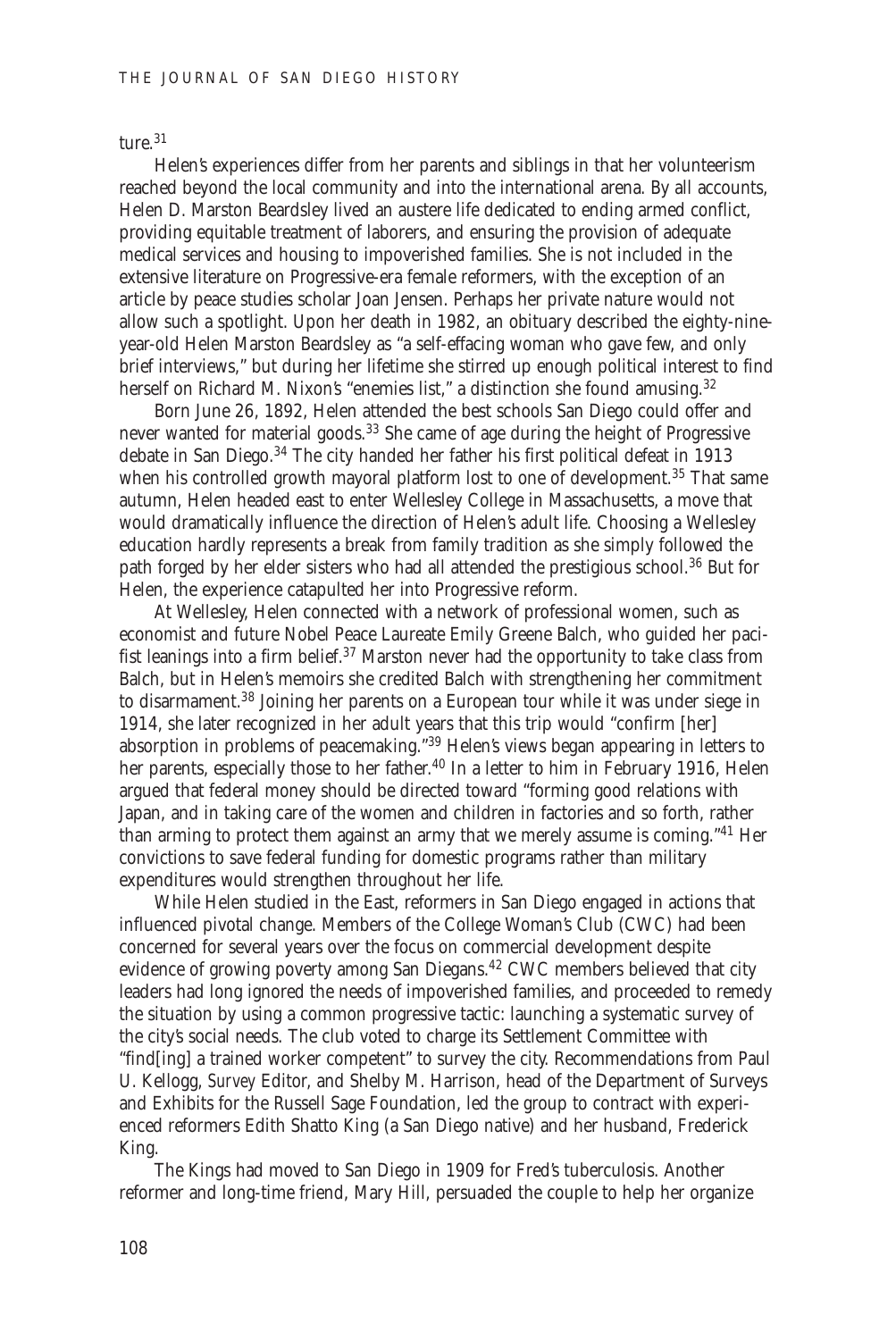ture.<sup>31</sup>

Helen's experiences differ from her parents and siblings in that her volunteerism reached beyond the local community and into the international arena. By all accounts, Helen D. Marston Beardsley lived an austere life dedicated to ending armed conflict, providing equitable treatment of laborers, and ensuring the provision of adequate medical services and housing to impoverished families. She is not included in the extensive literature on Progressive-era female reformers, with the exception of an article by peace studies scholar Joan Jensen. Perhaps her private nature would not allow such a spotlight. Upon her death in 1982, an obituary described the eighty-nineyear-old Helen Marston Beardsley as "a self-effacing woman who gave few, and only brief interviews," but during her lifetime she stirred up enough political interest to find herself on Richard M. Nixon's "enemies list," a distinction she found amusing.<sup>32</sup>

Born June 26, 1892, Helen attended the best schools San Diego could offer and never wanted for material goods.<sup>33</sup> She came of age during the height of Progressive debate in San Diego.<sup>34</sup> The city handed her father his first political defeat in 1913 when his controlled growth mayoral platform lost to one of development.<sup>35</sup> That same autumn, Helen headed east to enter Wellesley College in Massachusetts, a move that would dramatically influence the direction of Helen's adult life. Choosing a Wellesley education hardly represents a break from family tradition as she simply followed the path forged by her elder sisters who had all attended the prestigious school.<sup>36</sup> But for Helen, the experience catapulted her into Progressive reform.

At Wellesley, Helen connected with a network of professional women, such as economist and future Nobel Peace Laureate Emily Greene Balch, who guided her pacifist leanings into a firm belief.<sup>37</sup> Marston never had the opportunity to take class from Balch, but in Helen's memoirs she credited Balch with strengthening her commitment to disarmament.<sup>38</sup> Joining her parents on a European tour while it was under siege in 1914, she later recognized in her adult years that this trip would "confirm [her] absorption in problems of peacemaking."<sup>39</sup> Helen's views began appearing in letters to her parents, especially those to her father.<sup>40</sup> In a letter to him in February 1916, Helen argued that federal money should be directed toward "forming good relations with Japan, and in taking care of the women and children in factories and so forth, rather than arming to protect them against an army that we merely assume is coming."<sup>41</sup> Her convictions to save federal funding for domestic programs rather than military expenditures would strengthen throughout her life.

While Helen studied in the East, reformers in San Diego engaged in actions that influenced pivotal change. Members of the College Woman's Club (CWC) had been concerned for several years over the focus on commercial development despite evidence of growing poverty among San Diegans.<sup>42</sup> CWC members believed that city leaders had long ignored the needs of impoverished families, and proceeded to remedy the situation by using a common progressive tactic: launching a systematic survey of the city's social needs. The club voted to charge its Settlement Committee with "find[ing] a trained worker competent" to survey the city. Recommendations from Paul U. Kellogg, *Survey* Editor, and Shelby M. Harrison, head of the Department of Surveys and Exhibits for the Russell Sage Foundation, led the group to contract with experienced reformers Edith Shatto King (a San Diego native) and her husband, Frederick King.

The Kings had moved to San Diego in 1909 for Fred's tuberculosis. Another reformer and long-time friend, Mary Hill, persuaded the couple to help her organize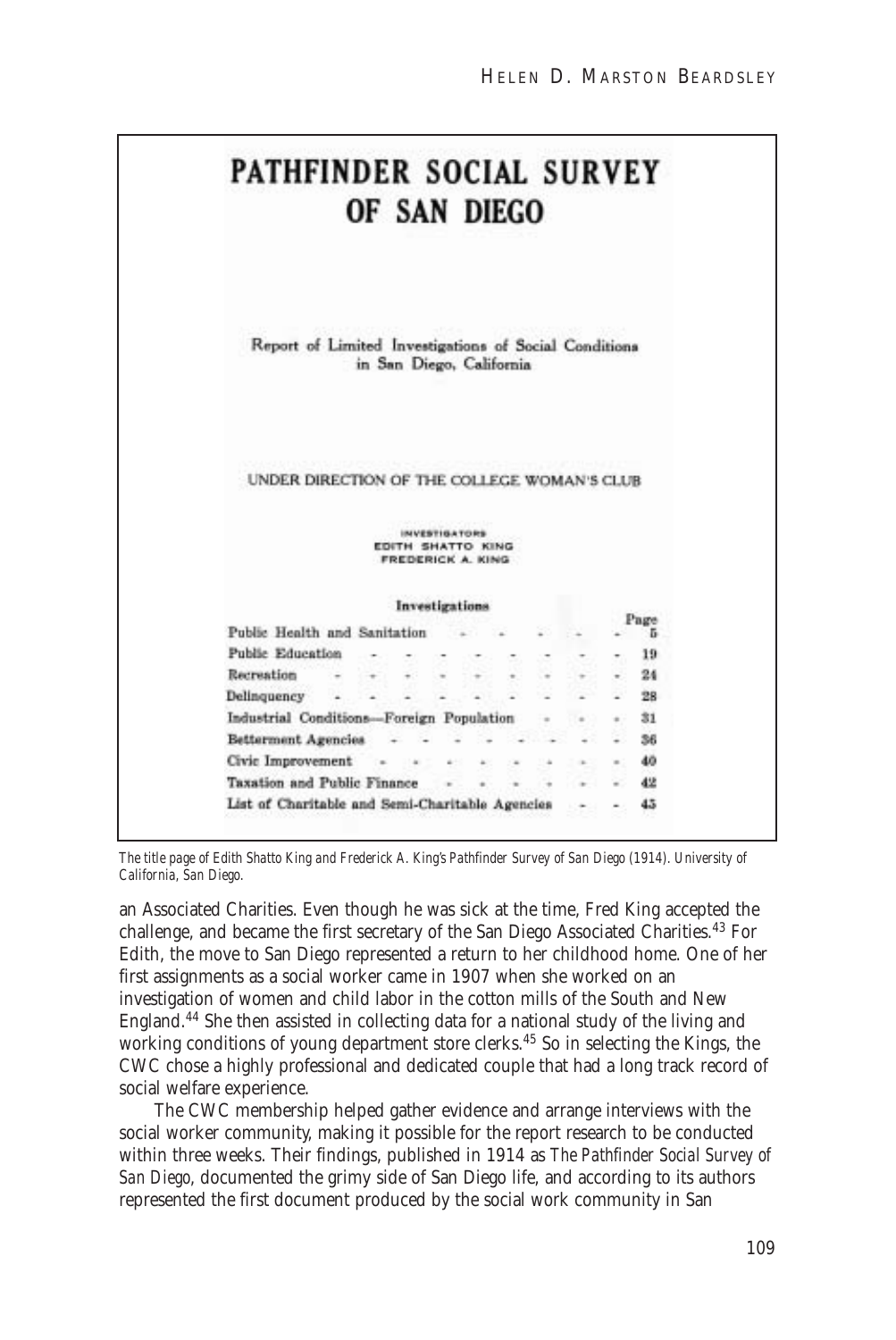|             | PATHFINDER SOCIAL SURVEY                              |  |   | OF SAN DIEGO                           |               |    |  |    |        |      |
|-------------|-------------------------------------------------------|--|---|----------------------------------------|---------------|----|--|----|--------|------|
|             | Report of Limited Investigations of Social Conditions |  |   | in San Diego, California               |               |    |  |    |        |      |
|             | UNDER DIRECTION OF THE COLLEGE WOMAN'S CLUB           |  |   |                                        |               |    |  |    |        |      |
|             |                                                       |  |   | EDITH SHATTO KING<br>FREDERICK A. KING | INVESTIGATORS |    |  |    |        |      |
|             |                                                       |  |   | Investigations                         |               |    |  |    |        | Page |
|             | Public Health and Sanitation                          |  |   |                                        |               |    |  |    |        | ъ    |
|             | Public Education                                      |  |   |                                        |               |    |  |    |        | 19   |
| Recreation  |                                                       |  |   |                                        |               |    |  |    |        | 24   |
| Delinquency |                                                       |  | × |                                        |               |    |  |    |        | 28   |
|             | Industrial Conditions-Foreign Population              |  |   |                                        |               |    |  |    |        | 31   |
|             | Betterment Agencies                                   |  |   |                                        |               |    |  | 36 |        |      |
|             |                                                       |  |   |                                        |               | W. |  |    | and it | 40   |
|             | Civic Improvement -                                   |  |   |                                        | 45.00         |    |  |    |        |      |

*The title page of Edith Shatto King and Frederick A. King's Pathfinder Survey of San Diego (1914). University of California, San Diego.*

an Associated Charities. Even though he was sick at the time, Fred King accepted the challenge, and became the first secretary of the San Diego Associated Charities.<sup>43</sup> For Edith, the move to San Diego represented a return to her childhood home. One of her first assignments as a social worker came in 1907 when she worked on an investigation of women and child labor in the cotton mills of the South and New England.<sup>44</sup> She then assisted in collecting data for a national study of the living and working conditions of young department store clerks.45 So in selecting the Kings, the CWC chose a highly professional and dedicated couple that had a long track record of social welfare experience.

The CWC membership helped gather evidence and arrange interviews with the social worker community, making it possible for the report research to be conducted within three weeks. Their findings, published in 1914 as *The Pathfinder Social Survey of San Diego*, documented the grimy side of San Diego life, and according to its authors represented the first document produced by the social work community in San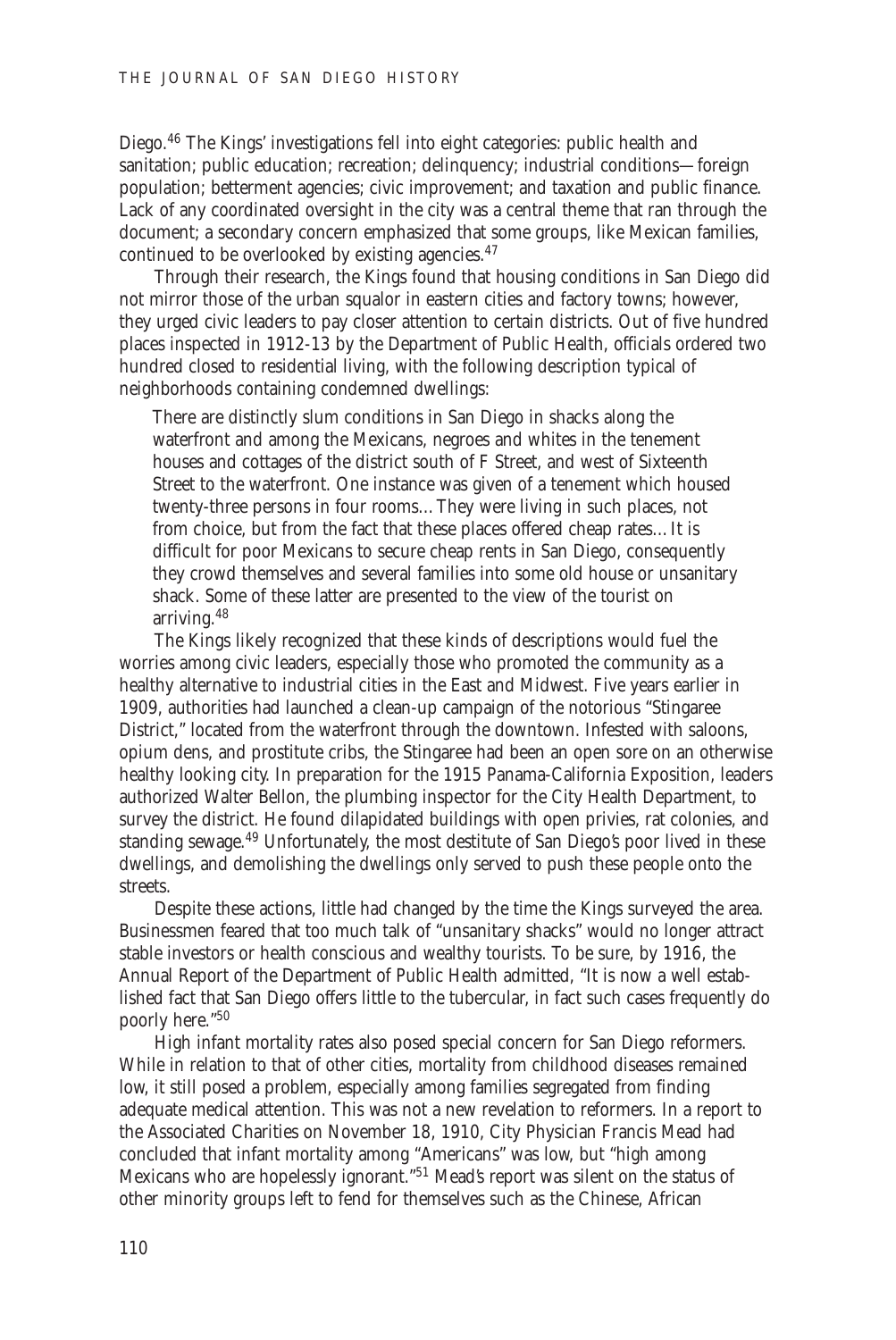Diego.<sup>46</sup> The Kings' investigations fell into eight categories: public health and sanitation; public education; recreation; delinquency; industrial conditions—foreign population; betterment agencies; civic improvement; and taxation and public finance. Lack of any coordinated oversight in the city was a central theme that ran through the document; a secondary concern emphasized that some groups, like Mexican families, continued to be overlooked by existing agencies.<sup>47</sup>

Through their research, the Kings found that housing conditions in San Diego did not mirror those of the urban squalor in eastern cities and factory towns; however, they urged civic leaders to pay closer attention to certain districts. Out of five hundred places inspected in 1912-13 by the Department of Public Health, officials ordered two hundred closed to residential living, with the following description typical of neighborhoods containing condemned dwellings:

There are distinctly slum conditions in San Diego in shacks along the waterfront and among the Mexicans, negroes and whites in the tenement houses and cottages of the district south of F Street, and west of Sixteenth Street to the waterfront. One instance was given of a tenement which housed twenty-three persons in four rooms…They were living in such places, not from choice, but from the fact that these places offered cheap rates…It is difficult for poor Mexicans to secure cheap rents in San Diego, consequently they crowd themselves and several families into some old house or unsanitary shack. Some of these latter are presented to the view of the tourist on arriving.<sup>48</sup>

The Kings likely recognized that these kinds of descriptions would fuel the worries among civic leaders, especially those who promoted the community as a healthy alternative to industrial cities in the East and Midwest. Five years earlier in 1909, authorities had launched a clean-up campaign of the notorious "Stingaree District," located from the waterfront through the downtown. Infested with saloons, opium dens, and prostitute cribs, the Stingaree had been an open sore on an otherwise healthy looking city. In preparation for the 1915 Panama-California Exposition, leaders authorized Walter Bellon, the plumbing inspector for the City Health Department, to survey the district. He found dilapidated buildings with open privies, rat colonies, and standing sewage.<sup>49</sup> Unfortunately, the most destitute of San Diego's poor lived in these dwellings, and demolishing the dwellings only served to push these people onto the streets.

Despite these actions, little had changed by the time the Kings surveyed the area. Businessmen feared that too much talk of "unsanitary shacks" would no longer attract stable investors or health conscious and wealthy tourists. To be sure, by 1916, the Annual Report of the Department of Public Health admitted, "It is now a well established fact that San Diego offers little to the tubercular, in fact such cases frequently do poorly here."<sup>50</sup>

High infant mortality rates also posed special concern for San Diego reformers. While in relation to that of other cities, mortality from childhood diseases remained low, it still posed a problem, especially among families segregated from finding adequate medical attention. This was not a new revelation to reformers. In a report to the Associated Charities on November 18, 1910, City Physician Francis Mead had concluded that infant mortality among "Americans" was low, but "high among Mexicans who are hopelessly ignorant."<sup>51</sup> Mead's report was silent on the status of other minority groups left to fend for themselves such as the Chinese, African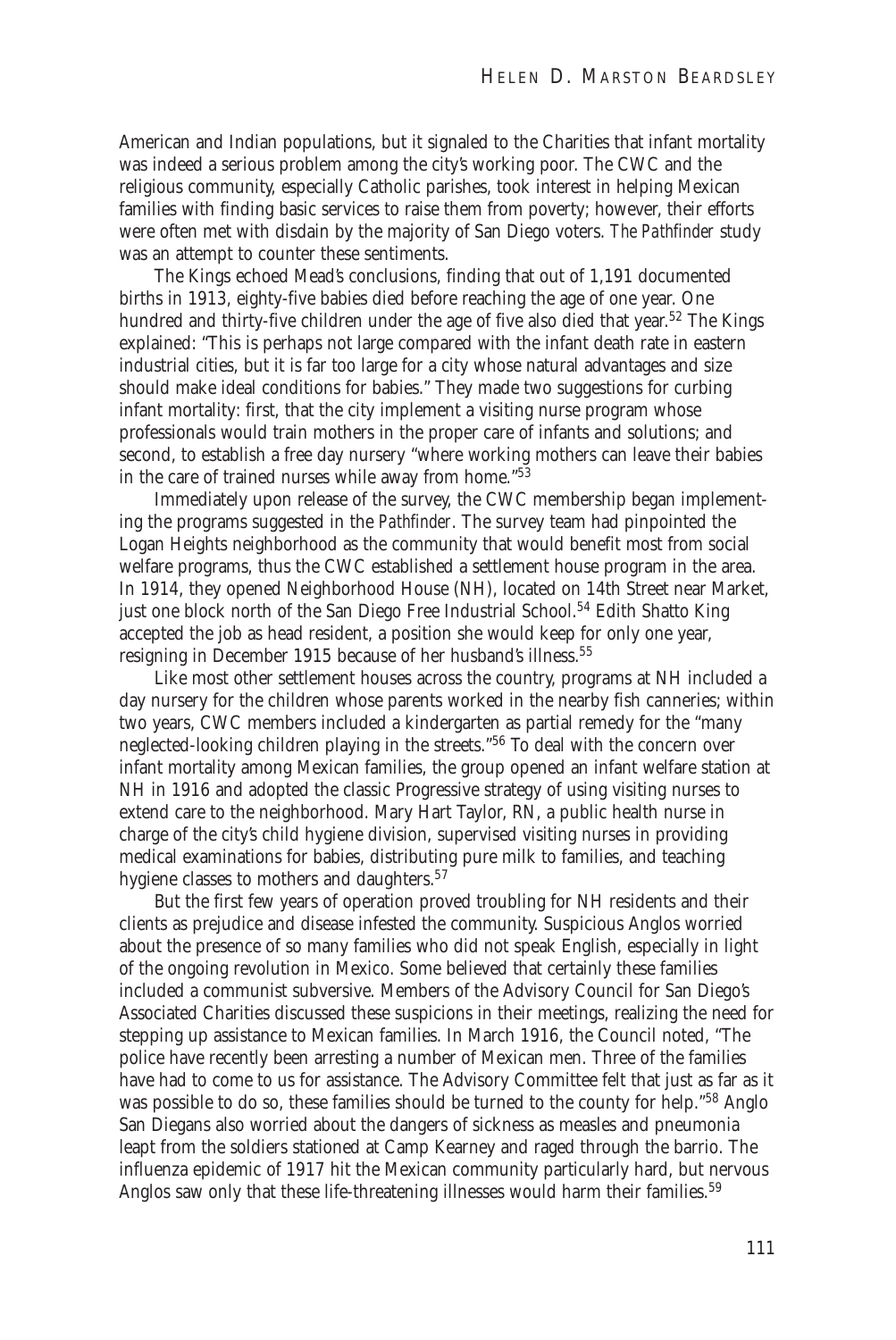American and Indian populations, but it signaled to the Charities that infant mortality was indeed a serious problem among the city's working poor. The CWC and the religious community, especially Catholic parishes, took interest in helping Mexican families with finding basic services to raise them from poverty; however, their efforts were often met with disdain by the majority of San Diego voters. *The Pathfinder* study was an attempt to counter these sentiments.

The Kings echoed Mead's conclusions, finding that out of 1,191 documented births in 1913, eighty-five babies died before reaching the age of one year. One hundred and thirty-five children under the age of five also died that year.<sup>52</sup> The Kings explained: "This is perhaps not large compared with the infant death rate in eastern industrial cities, but it is far too large for a city whose natural advantages and size should make ideal conditions for babies." They made two suggestions for curbing infant mortality: first, that the city implement a visiting nurse program whose professionals would train mothers in the proper care of infants and solutions; and second, to establish a free day nursery "where working mothers can leave their babies in the care of trained nurses while away from home."<sup>53</sup>

Immediately upon release of the survey, the CWC membership began implementing the programs suggested in the *Pathfinder*. The survey team had pinpointed the Logan Heights neighborhood as the community that would benefit most from social welfare programs, thus the CWC established a settlement house program in the area. In 1914, they opened Neighborhood House (NH), located on 14th Street near Market, just one block north of the San Diego Free Industrial School.<sup>54</sup> Edith Shatto King accepted the job as head resident, a position she would keep for only one year, resigning in December 1915 because of her husband's illness.<sup>55</sup>

Like most other settlement houses across the country, programs at NH included a day nursery for the children whose parents worked in the nearby fish canneries; within two years, CWC members included a kindergarten as partial remedy for the "many neglected-looking children playing in the streets."<sup>56</sup> To deal with the concern over infant mortality among Mexican families, the group opened an infant welfare station at NH in 1916 and adopted the classic Progressive strategy of using visiting nurses to extend care to the neighborhood. Mary Hart Taylor, RN, a public health nurse in charge of the city's child hygiene division, supervised visiting nurses in providing medical examinations for babies, distributing pure milk to families, and teaching hygiene classes to mothers and daughters.<sup>57</sup>

But the first few years of operation proved troubling for NH residents and their clients as prejudice and disease infested the community. Suspicious Anglos worried about the presence of so many families who did not speak English, especially in light of the ongoing revolution in Mexico. Some believed that certainly these families included a communist subversive. Members of the Advisory Council for San Diego's Associated Charities discussed these suspicions in their meetings, realizing the need for stepping up assistance to Mexican families. In March 1916, the Council noted, "The police have recently been arresting a number of Mexican men. Three of the families have had to come to us for assistance. The Advisory Committee felt that just as far as it was possible to do so, these families should be turned to the county for help."<sup>58</sup> Anglo San Diegans also worried about the dangers of sickness as measles and pneumonia leapt from the soldiers stationed at Camp Kearney and raged through the barrio. The influenza epidemic of 1917 hit the Mexican community particularly hard, but nervous Anglos saw only that these life-threatening illnesses would harm their families.<sup>59</sup>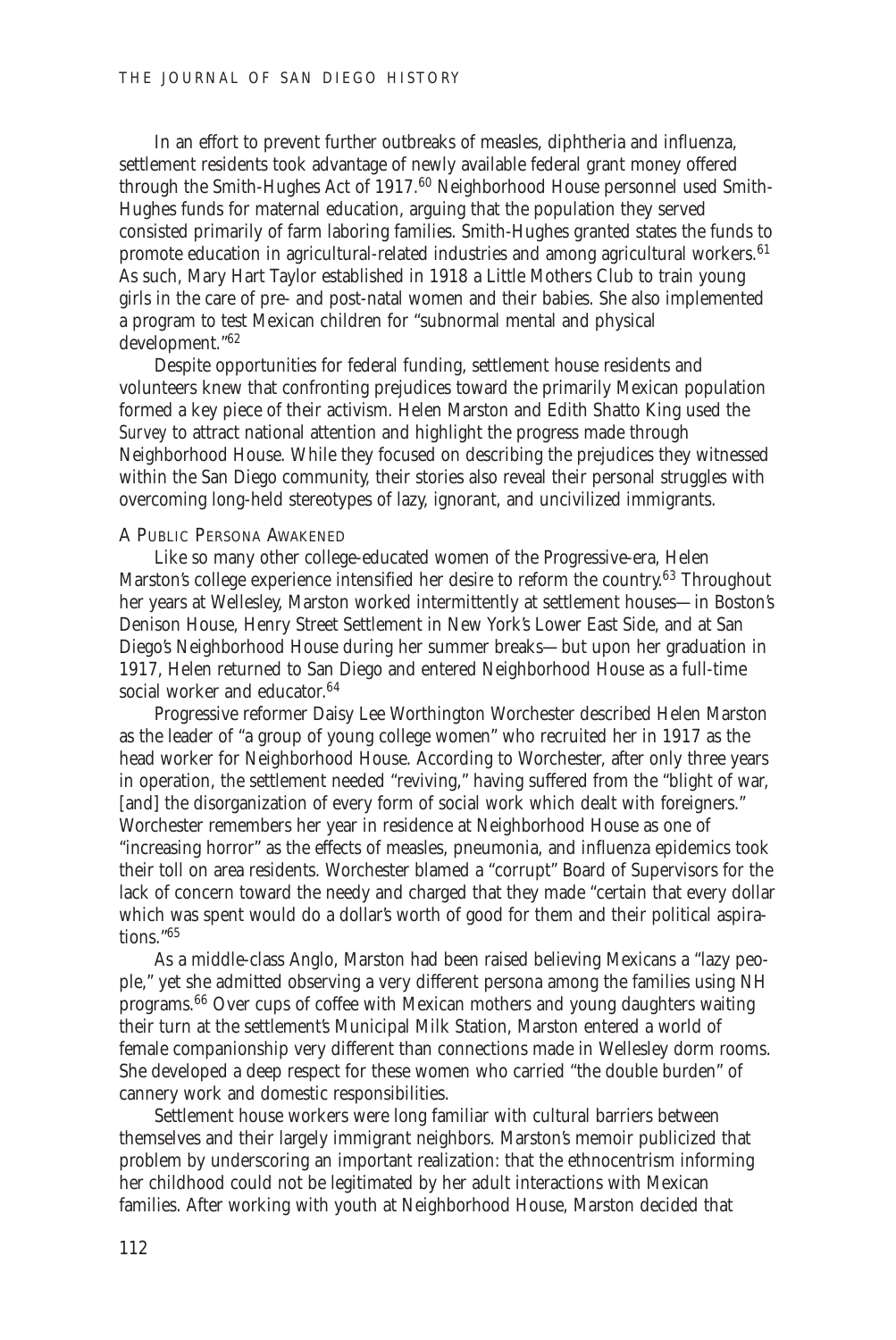In an effort to prevent further outbreaks of measles, diphtheria and influenza, settlement residents took advantage of newly available federal grant money offered through the Smith-Hughes Act of 1917.<sup>60</sup> Neighborhood House personnel used Smith-Hughes funds for maternal education, arguing that the population they served consisted primarily of farm laboring families. Smith-Hughes granted states the funds to promote education in agricultural-related industries and among agricultural workers.<sup>61</sup> As such, Mary Hart Taylor established in 1918 a Little Mothers Club to train young girls in the care of pre- and post-natal women and their babies. She also implemented a program to test Mexican children for "subnormal mental and physical development."<sup>62</sup>

Despite opportunities for federal funding, settlement house residents and volunteers knew that confronting prejudices toward the primarily Mexican population formed a key piece of their activism. Helen Marston and Edith Shatto King used the *Survey* to attract national attention and highlight the progress made through Neighborhood House. While they focused on describing the prejudices they witnessed within the San Diego community, their stories also reveal their personal struggles with overcoming long-held stereotypes of lazy, ignorant, and uncivilized immigrants.

#### A PUBLIC PERSONA AWAKENED

Like so many other college-educated women of the Progressive-era, Helen Marston's college experience intensified her desire to reform the country.<sup>63</sup> Throughout her years at Wellesley, Marston worked intermittently at settlement houses—in Boston's Denison House, Henry Street Settlement in New York's Lower East Side, and at San Diego's Neighborhood House during her summer breaks—but upon her graduation in 1917, Helen returned to San Diego and entered Neighborhood House as a full-time social worker and educator.<sup>64</sup>

Progressive reformer Daisy Lee Worthington Worchester described Helen Marston as the leader of "a group of young college women" who recruited her in 1917 as the head worker for Neighborhood House. According to Worchester, after only three years in operation, the settlement needed "reviving," having suffered from the "blight of war, [and] the disorganization of every form of social work which dealt with foreigners." Worchester remembers her year in residence at Neighborhood House as one of "increasing horror" as the effects of measles, pneumonia, and influenza epidemics took their toll on area residents. Worchester blamed a "corrupt" Board of Supervisors for the lack of concern toward the needy and charged that they made "certain that every dollar which was spent would do a dollar's worth of good for them and their political aspirations."<sup>65</sup>

As a middle-class Anglo, Marston had been raised believing Mexicans a "lazy people," yet she admitted observing a very different persona among the families using NH programs.<sup>66</sup> Over cups of coffee with Mexican mothers and young daughters waiting their turn at the settlement's Municipal Milk Station, Marston entered a world of female companionship very different than connections made in Wellesley dorm rooms. She developed a deep respect for these women who carried "the double burden" of cannery work and domestic responsibilities.

Settlement house workers were long familiar with cultural barriers between themselves and their largely immigrant neighbors. Marston's memoir publicized that problem by underscoring an important realization: that the ethnocentrism informing her childhood could not be legitimated by her adult interactions with Mexican families. After working with youth at Neighborhood House, Marston decided that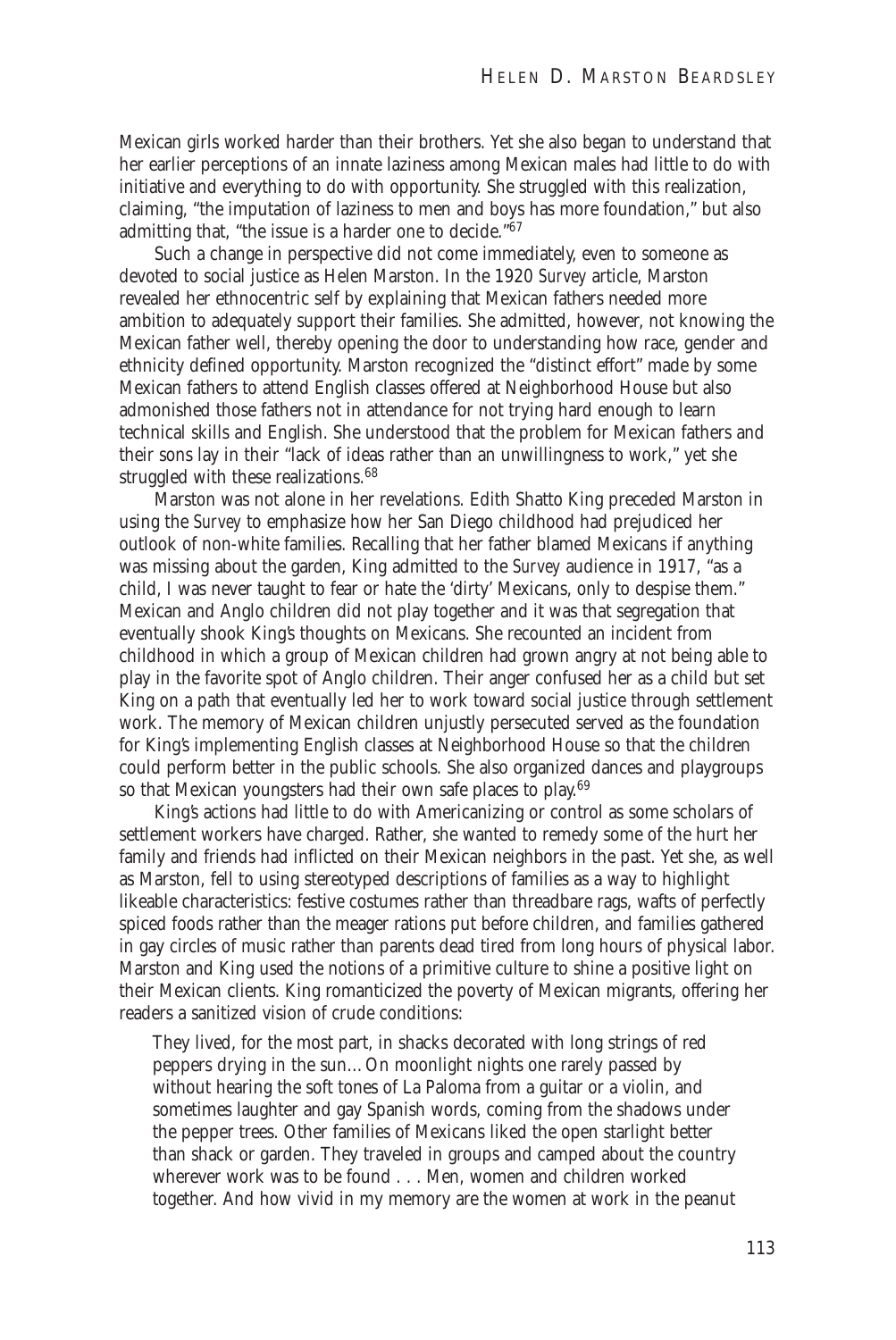Mexican girls worked harder than their brothers. Yet she also began to understand that her earlier perceptions of an innate laziness among Mexican males had little to do with initiative and everything to do with opportunity. She struggled with this realization, claiming, "the imputation of laziness to men and boys has more foundation," but also admitting that, "the issue is a harder one to decide."<sup>67</sup>

Such a change in perspective did not come immediately, even to someone as devoted to social justice as Helen Marston. In the 1920 *Survey* article, Marston revealed her ethnocentric self by explaining that Mexican fathers needed more ambition to adequately support their families. She admitted, however, not knowing the Mexican father well, thereby opening the door to understanding how race, gender and ethnicity defined opportunity. Marston recognized the "distinct effort" made by some Mexican fathers to attend English classes offered at Neighborhood House but also admonished those fathers not in attendance for not trying hard enough to learn technical skills and English. She understood that the problem for Mexican fathers and their sons lay in their "lack of ideas rather than an unwillingness to work," yet she struggled with these realizations.<sup>68</sup>

Marston was not alone in her revelations. Edith Shatto King preceded Marston in using the *Survey* to emphasize how her San Diego childhood had prejudiced her outlook of non-white families. Recalling that her father blamed Mexicans if anything was missing about the garden, King admitted to the *Survey* audience in 1917, "as a child, I was never taught to fear or hate the 'dirty' Mexicans, only to despise them." Mexican and Anglo children did not play together and it was that segregation that eventually shook King's thoughts on Mexicans. She recounted an incident from childhood in which a group of Mexican children had grown angry at not being able to play in the favorite spot of Anglo children. Their anger confused her as a child but set King on a path that eventually led her to work toward social justice through settlement work. The memory of Mexican children unjustly persecuted served as the foundation for King's implementing English classes at Neighborhood House so that the children could perform better in the public schools. She also organized dances and playgroups so that Mexican youngsters had their own safe places to play.<sup>69</sup>

King's actions had little to do with Americanizing or control as some scholars of settlement workers have charged. Rather, she wanted to remedy some of the hurt her family and friends had inflicted on their Mexican neighbors in the past. Yet she, as well as Marston, fell to using stereotyped descriptions of families as a way to highlight likeable characteristics: festive costumes rather than threadbare rags, wafts of perfectly spiced foods rather than the meager rations put before children, and families gathered in gay circles of music rather than parents dead tired from long hours of physical labor. Marston and King used the notions of a primitive culture to shine a positive light on their Mexican clients. King romanticized the poverty of Mexican migrants, offering her readers a sanitized vision of crude conditions:

They lived, for the most part, in shacks decorated with long strings of red peppers drying in the sun…On moonlight nights one rarely passed by without hearing the soft tones of La Paloma from a guitar or a violin, and sometimes laughter and gay Spanish words, coming from the shadows under the pepper trees. Other families of Mexicans liked the open starlight better than shack or garden. They traveled in groups and camped about the country wherever work was to be found . . . Men, women and children worked together. And how vivid in my memory are the women at work in the peanut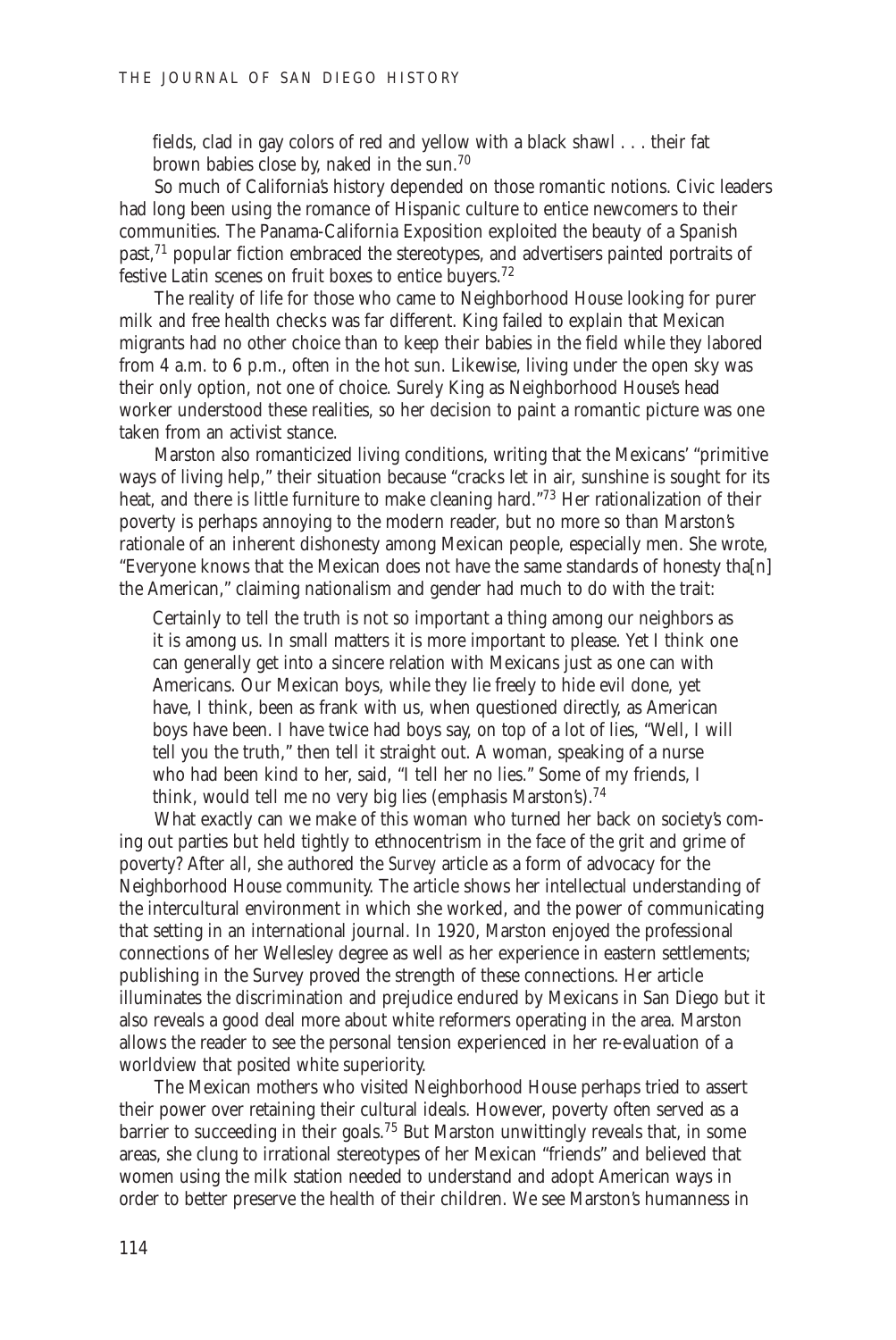fields, clad in gay colors of red and yellow with a black shawl . . . their fat brown babies close by, naked in the sun.<sup>70</sup>

So much of California's history depended on those romantic notions. Civic leaders had long been using the romance of Hispanic culture to entice newcomers to their communities. The Panama-California Exposition exploited the beauty of a Spanish past,<sup>71</sup> popular fiction embraced the stereotypes, and advertisers painted portraits of festive Latin scenes on fruit boxes to entice buyers.<sup>72</sup>

The reality of life for those who came to Neighborhood House looking for purer milk and free health checks was far different. King failed to explain that Mexican migrants had no other choice than to keep their babies in the field while they labored from 4 a.m. to 6 p.m., often in the hot sun. Likewise, living under the open sky was their only option, not one of choice. Surely King as Neighborhood House's head worker understood these realities, so her decision to paint a romantic picture was one taken from an activist stance.

Marston also romanticized living conditions, writing that the Mexicans' "primitive ways of living help," their situation because "cracks let in air, sunshine is sought for its heat, and there is little furniture to make cleaning hard."<sup>73</sup> Her rationalization of their poverty is perhaps annoying to the modern reader, but no more so than Marston's rationale of an inherent dishonesty among Mexican people, especially men. She wrote, "Everyone knows that the Mexican does not have the same standards of honesty tha[n] the American," claiming nationalism and gender had much to do with the trait:

Certainly to tell the truth is not so important a thing among our neighbors as it is among us. In small matters it is more important to please. Yet I think one can generally get into a sincere relation with Mexicans just as one can with Americans. Our Mexican boys, while they lie freely to hide evil done, yet have, I think, been as frank with us, when questioned directly, as American boys have been. I have twice had boys say, on top of a lot of lies, "Well, I will tell you the truth," then tell it straight out. A woman, speaking of a nurse who had been kind to her, said, "I tell her no lies." Some of my friends, I think, would tell me no very big lies (emphasis Marston's).<sup>74</sup>

What exactly can we make of this woman who turned her back on society's coming out parties but held tightly to ethnocentrism in the face of the grit and grime of poverty? After all, she authored the *Survey* article as a form of advocacy for the Neighborhood House community. The article shows her intellectual understanding of the intercultural environment in which she worked, and the power of communicating that setting in an international journal. In 1920, Marston enjoyed the professional connections of her Wellesley degree as well as her experience in eastern settlements; publishing in the Survey proved the strength of these connections. Her article illuminates the discrimination and prejudice endured by Mexicans in San Diego but it also reveals a good deal more about white reformers operating in the area. Marston allows the reader to see the personal tension experienced in her re-evaluation of a worldview that posited white superiority.

The Mexican mothers who visited Neighborhood House perhaps tried to assert their power over retaining their cultural ideals. However, poverty often served as a barrier to succeeding in their goals.<sup>75</sup> But Marston unwittingly reveals that, in some areas, she clung to irrational stereotypes of her Mexican "friends" and believed that women using the milk station needed to understand and adopt American ways in order to better preserve the health of their children. We see Marston's humanness in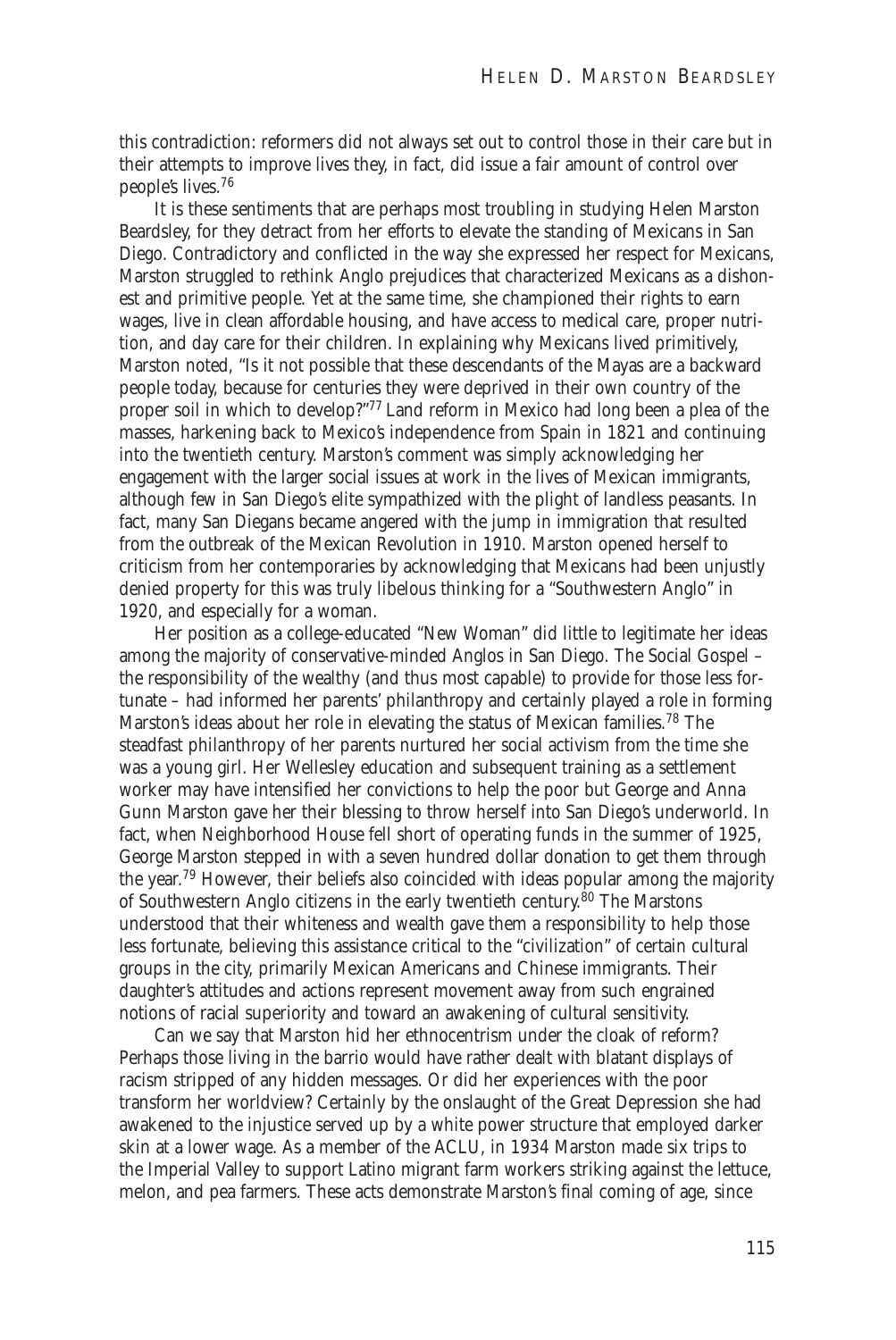this contradiction: reformers did not always set out to control those in their care but in their attempts to improve lives they, in fact, did issue a fair amount of control over people's lives.<sup>76</sup>

It is these sentiments that are perhaps most troubling in studying Helen Marston Beardsley, for they detract from her efforts to elevate the standing of Mexicans in San Diego. Contradictory and conflicted in the way she expressed her respect for Mexicans, Marston struggled to rethink Anglo prejudices that characterized Mexicans as a dishonest and primitive people. Yet at the same time, she championed their rights to earn wages, live in clean affordable housing, and have access to medical care, proper nutrition, and day care for their children. In explaining why Mexicans lived primitively, Marston noted, "Is it not possible that these descendants of the Mayas are a backward people today, because for centuries they were deprived in their own country of the proper soil in which to develop?"77 Land reform in Mexico had long been a plea of the masses, harkening back to Mexico's independence from Spain in 1821 and continuing into the twentieth century. Marston's comment was simply acknowledging her engagement with the larger social issues at work in the lives of Mexican immigrants, although few in San Diego's elite sympathized with the plight of landless peasants. In fact, many San Diegans became angered with the jump in immigration that resulted from the outbreak of the Mexican Revolution in 1910. Marston opened herself to criticism from her contemporaries by acknowledging that Mexicans had been unjustly denied property for this was truly libelous thinking for a "Southwestern Anglo" in 1920, and especially for a woman.

Her position as a college-educated "New Woman" did little to legitimate her ideas among the majority of conservative-minded Anglos in San Diego. The Social Gospel – the responsibility of the wealthy (and thus most capable) to provide for those less fortunate – had informed her parents' philanthropy and certainly played a role in forming Marston's ideas about her role in elevating the status of Mexican families.<sup>78</sup> The steadfast philanthropy of her parents nurtured her social activism from the time she was a young girl. Her Wellesley education and subsequent training as a settlement worker may have intensified her convictions to help the poor but George and Anna Gunn Marston gave her their blessing to throw herself into San Diego's underworld. In fact, when Neighborhood House fell short of operating funds in the summer of 1925, George Marston stepped in with a seven hundred dollar donation to get them through the year.79 However, their beliefs also coincided with ideas popular among the majority of Southwestern Anglo citizens in the early twentieth century.<sup>80</sup> The Marstons understood that their whiteness and wealth gave them a responsibility to help those less fortunate, believing this assistance critical to the "civilization" of certain cultural groups in the city, primarily Mexican Americans and Chinese immigrants. Their daughter's attitudes and actions represent movement away from such engrained notions of racial superiority and toward an awakening of cultural sensitivity.

Can we say that Marston hid her ethnocentrism under the cloak of reform? Perhaps those living in the barrio would have rather dealt with blatant displays of racism stripped of any hidden messages. Or did her experiences with the poor transform her worldview? Certainly by the onslaught of the Great Depression she had awakened to the injustice served up by a white power structure that employed darker skin at a lower wage. As a member of the ACLU, in 1934 Marston made six trips to the Imperial Valley to support Latino migrant farm workers striking against the lettuce, melon, and pea farmers. These acts demonstrate Marston's final coming of age, since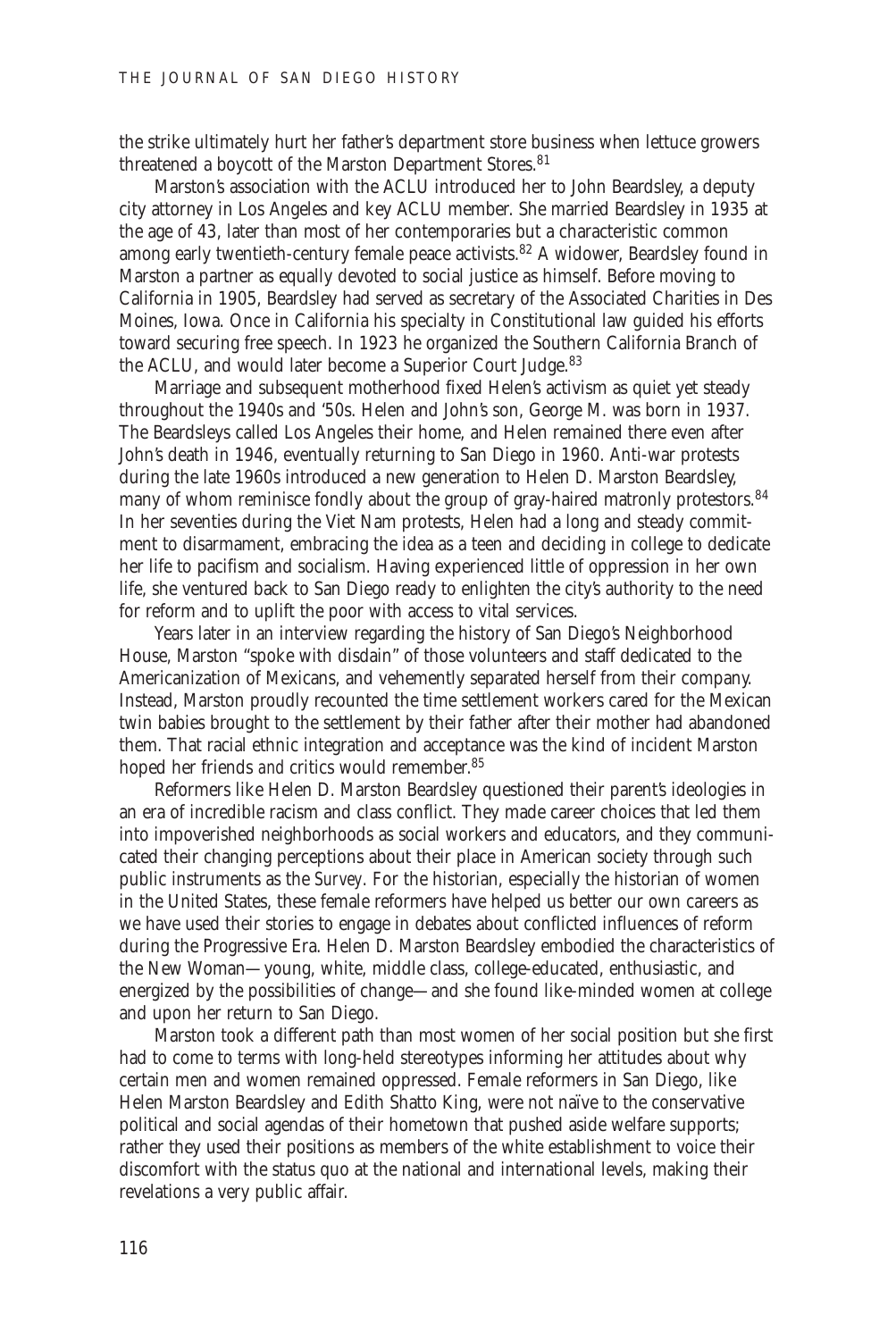the strike ultimately hurt her father's department store business when lettuce growers threatened a boycott of the Marston Department Stores.<sup>81</sup>

Marston's association with the ACLU introduced her to John Beardsley, a deputy city attorney in Los Angeles and key ACLU member. She married Beardsley in 1935 at the age of 43, later than most of her contemporaries but a characteristic common among early twentieth-century female peace activists.<sup>82</sup> A widower, Beardsley found in Marston a partner as equally devoted to social justice as himself. Before moving to California in 1905, Beardsley had served as secretary of the Associated Charities in Des Moines, Iowa. Once in California his specialty in Constitutional law guided his efforts toward securing free speech. In 1923 he organized the Southern California Branch of the ACLU, and would later become a Superior Court Judge.<sup>83</sup>

Marriage and subsequent motherhood fixed Helen's activism as quiet yet steady throughout the 1940s and '50s. Helen and John's son, George M. was born in 1937. The Beardsleys called Los Angeles their home, and Helen remained there even after John's death in 1946, eventually returning to San Diego in 1960. Anti-war protests during the late 1960s introduced a new generation to Helen D. Marston Beardsley, many of whom reminisce fondly about the group of gray-haired matronly protestors.<sup>84</sup> In her seventies during the Viet Nam protests, Helen had a long and steady commitment to disarmament, embracing the idea as a teen and deciding in college to dedicate her life to pacifism and socialism. Having experienced little of oppression in her own life, she ventured back to San Diego ready to enlighten the city's authority to the need for reform and to uplift the poor with access to vital services.

Years later in an interview regarding the history of San Diego's Neighborhood House, Marston "spoke with disdain" of those volunteers and staff dedicated to the Americanization of Mexicans, and vehemently separated herself from their company. Instead, Marston proudly recounted the time settlement workers cared for the Mexican twin babies brought to the settlement by their father after their mother had abandoned them. That racial ethnic integration and acceptance was the kind of incident Marston hoped her friends *and* critics would remember.<sup>85</sup>

Reformers like Helen D. Marston Beardsley questioned their parent's ideologies in an era of incredible racism and class conflict. They made career choices that led them into impoverished neighborhoods as social workers and educators, and they communicated their changing perceptions about their place in American society through such public instruments as the *Survey*. For the historian, especially the historian of women in the United States, these female reformers have helped us better our own careers as we have used their stories to engage in debates about conflicted influences of reform during the Progressive Era. Helen D. Marston Beardsley embodied the characteristics of the New Woman—young, white, middle class, college-educated, enthusiastic, and energized by the possibilities of change—and she found like-minded women at college and upon her return to San Diego.

Marston took a different path than most women of her social position but she first had to come to terms with long-held stereotypes informing her attitudes about why certain men and women remained oppressed. Female reformers in San Diego, like Helen Marston Beardsley and Edith Shatto King, were not naïve to the conservative political and social agendas of their hometown that pushed aside welfare supports; rather they used their positions as members of the white establishment to voice their discomfort with the status quo at the national and international levels, making their revelations a very public affair.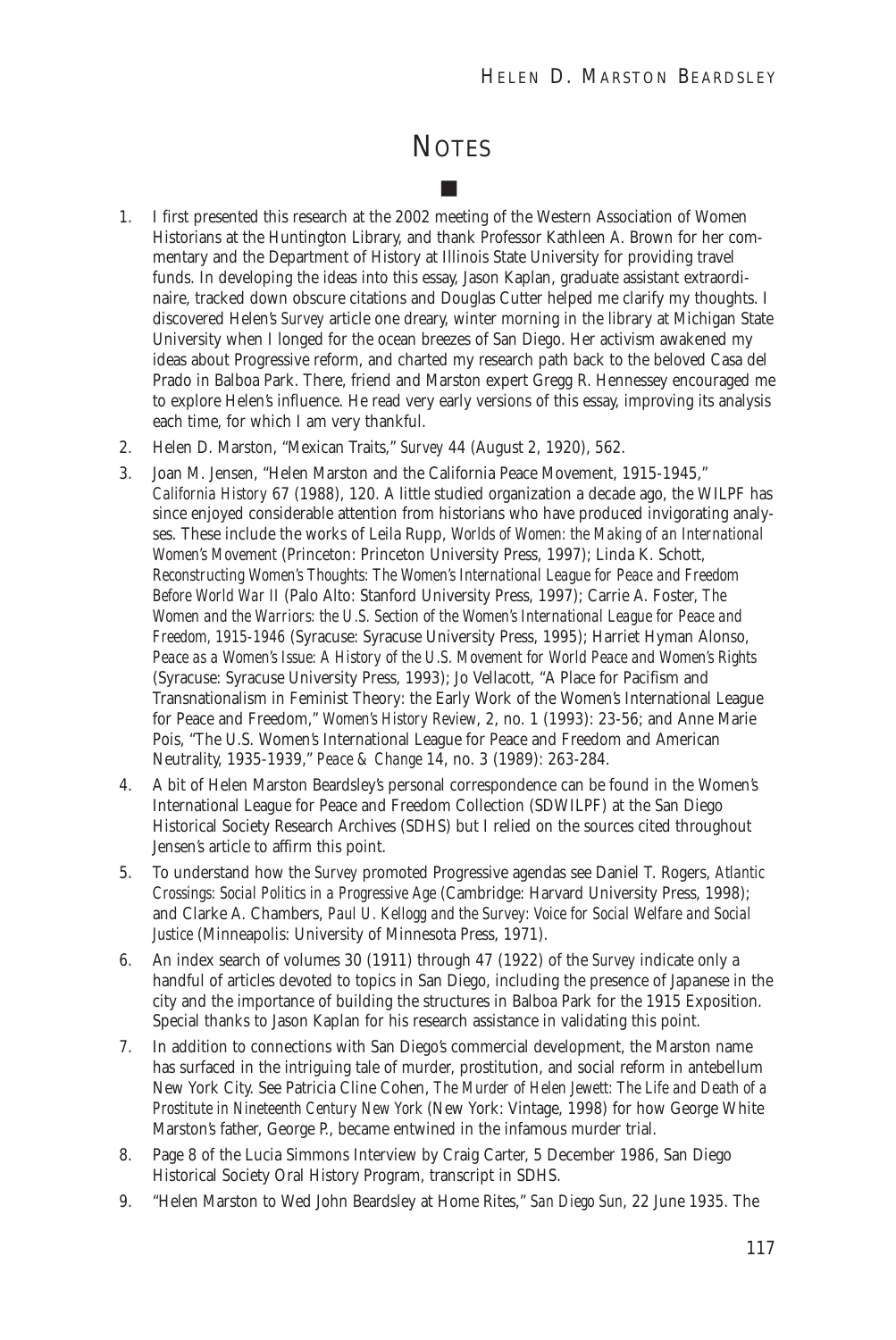## **NOTES**

■

- 1. I first presented this research at the 2002 meeting of the Western Association of Women Historians at the Huntington Library, and thank Professor Kathleen A. Brown for her commentary and the Department of History at Illinois State University for providing travel funds. In developing the ideas into this essay, Jason Kaplan, graduate assistant extraordinaire, tracked down obscure citations and Douglas Cutter helped me clarify my thoughts. I discovered Helen's *Survey* article one dreary, winter morning in the library at Michigan State University when I longed for the ocean breezes of San Diego. Her activism awakened my ideas about Progressive reform, and charted my research path back to the beloved Casa del Prado in Balboa Park. There, friend and Marston expert Gregg R. Hennessey encouraged me to explore Helen's influence. He read very early versions of this essay, improving its analysis each time, for which I am very thankful.
- 2. Helen D. Marston, "Mexican Traits," *Survey* 44 (August 2, 1920), 562.
- 3. Joan M. Jensen, "Helen Marston and the California Peace Movement, 1915-1945," *California History* 67 (1988), 120. A little studied organization a decade ago, the WILPF has since enjoyed considerable attention from historians who have produced invigorating analyses. These include the works of Leila Rupp, *Worlds of Women: the Making of an International Women's Movement* (Princeton: Princeton University Press, 1997); Linda K. Schott, *Reconstructing Women's Thoughts: The Women's International League for Peace and Freedom Before World War II* (Palo Alto: Stanford University Press, 1997); Carrie A. Foster, *The Women and the Warriors: the U.S. Section of the Women's International League for Peace and Freedom, 1915-1946* (Syracuse: Syracuse University Press, 1995); Harriet Hyman Alonso, *Peace as a Women's Issue: A History of the U.S. Movement for World Peace and Women's Rights* (Syracuse: Syracuse University Press, 1993); Jo Vellacott, "A Place for Pacifism and Transnationalism in Feminist Theory: the Early Work of the Women's International League for Peace and Freedom," *Women's History Review*, 2, no. 1 (1993): 23-56; and Anne Marie Pois, "The U.S. Women's International League for Peace and Freedom and American Neutrality, 1935-1939," *Peace & Change* 14, no. 3 (1989): 263-284.
- 4. A bit of Helen Marston Beardsley's personal correspondence can be found in the Women's International League for Peace and Freedom Collection (SDWILPF) at the San Diego Historical Society Research Archives (SDHS) but I relied on the sources cited throughout Jensen's article to affirm this point.
- 5. To understand how the *Survey* promoted Progressive agendas see Daniel T. Rogers, *Atlantic Crossings: Social Politics in a Progressive Age* (Cambridge: Harvard University Press, 1998); and Clarke A. Chambers, *Paul U. Kellogg and the Survey: Voice for Social Welfare and Social Justice* (Minneapolis: University of Minnesota Press, 1971).
- 6. An index search of volumes 30 (1911) through 47 (1922) of the *Survey* indicate only a handful of articles devoted to topics in San Diego, including the presence of Japanese in the city and the importance of building the structures in Balboa Park for the 1915 Exposition. Special thanks to Jason Kaplan for his research assistance in validating this point.
- 7. In addition to connections with San Diego's commercial development, the Marston name has surfaced in the intriguing tale of murder, prostitution, and social reform in antebellum New York City. See Patricia Cline Cohen, *The Murder of Helen Jewett: The Life and Death of a Prostitute in Nineteenth Century New York* (New York: Vintage, 1998) for how George White Marston's father, George P., became entwined in the infamous murder trial.
- 8. Page 8 of the Lucia Simmons Interview by Craig Carter, 5 December 1986, San Diego Historical Society Oral History Program, transcript in SDHS.
- 9. "Helen Marston to Wed John Beardsley at Home Rites," *San Diego Sun*, 22 June 1935. The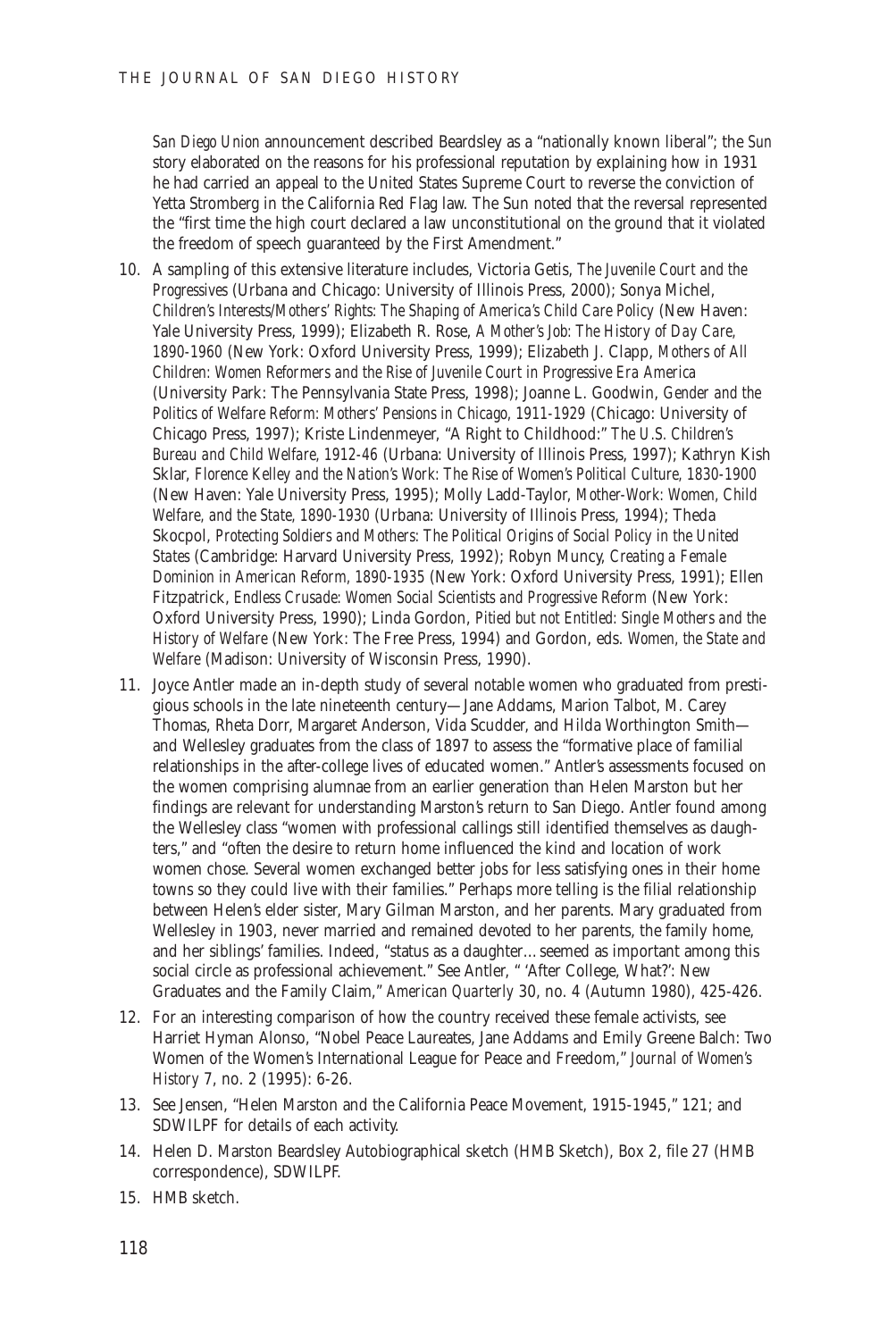*San Diego Union* announcement described Beardsley as a "nationally known liberal"; the *Sun* story elaborated on the reasons for his professional reputation by explaining how in 1931 he had carried an appeal to the United States Supreme Court to reverse the conviction of Yetta Stromberg in the California Red Flag law. The Sun noted that the reversal represented the "first time the high court declared a law unconstitutional on the ground that it violated the freedom of speech guaranteed by the First Amendment."

- 10. A sampling of this extensive literature includes, Victoria Getis, *The Juvenile Court and the Progressives* (Urbana and Chicago: University of Illinois Press, 2000); Sonya Michel, *Children's Interests/Mothers' Rights: The Shaping of America's Child Care Policy* (New Haven: Yale University Press, 1999); Elizabeth R. Rose, *A Mother's Job: The History of Day Care, 1890-1960* (New York: Oxford University Press, 1999); Elizabeth J. Clapp, *Mothers of All Children: Women Reformers and the Rise of Juvenile Court in Progressive Era America* (University Park: The Pennsylvania State Press, 1998); Joanne L. Goodwin, *Gender and the Politics of Welfare Reform: Mothers' Pensions in Chicago, 1911-1929* (Chicago: University of Chicago Press, 1997); Kriste Lindenmeyer, "A Right to Childhood:" *The U.S. Children's Bureau and Child Welfare, 1912-46* (Urbana: University of Illinois Press, 1997); Kathryn Kish Sklar, *Florence Kelley and the Nation's Work: The Rise of Women's Political Culture, 1830-1900* (New Haven: Yale University Press, 1995); Molly Ladd-Taylor, *Mother-Work: Women, Child Welfare, and the State, 1890-1930* (Urbana: University of Illinois Press, 1994); Theda Skocpol, *Protecting Soldiers and Mothers: The Political Origins of Social Policy in the United States* (Cambridge: Harvard University Press, 1992); Robyn Muncy, *Creating a Female Dominion in American Reform, 1890-1935* (New York: Oxford University Press, 1991); Ellen Fitzpatrick, *Endless Crusade: Women Social Scientists and Progressive Reform* (New York: Oxford University Press, 1990); Linda Gordon, *Pitied but not Entitled: Single Mothers and the History of Welfare* (New York: The Free Press, 1994) and Gordon, eds. *Women, the State and Welfare* (Madison: University of Wisconsin Press, 1990).
- 11. Joyce Antler made an in-depth study of several notable women who graduated from prestigious schools in the late nineteenth century—Jane Addams, Marion Talbot, M. Carey Thomas, Rheta Dorr, Margaret Anderson, Vida Scudder, and Hilda Worthington Smith and Wellesley graduates from the class of 1897 to assess the "formative place of familial relationships in the after-college lives of educated women." Antler's assessments focused on the women comprising alumnae from an earlier generation than Helen Marston but her findings are relevant for understanding Marston's return to San Diego. Antler found among the Wellesley class "women with professional callings still identified themselves as daughters," and "often the desire to return home influenced the kind and location of work women chose. Several women exchanged better jobs for less satisfying ones in their home towns so they could live with their families." Perhaps more telling is the filial relationship between Helen's elder sister, Mary Gilman Marston, and her parents. Mary graduated from Wellesley in 1903, never married and remained devoted to her parents, the family home, and her siblings' families. Indeed, "status as a daughter…seemed as important among this social circle as professional achievement." See Antler, " 'After College, What?': New Graduates and the Family Claim," *American Quarterly* 30, no. 4 (Autumn 1980), 425-426.
- 12. For an interesting comparison of how the country received these female activists, see Harriet Hyman Alonso, "Nobel Peace Laureates, Jane Addams and Emily Greene Balch: Two Women of the Women's International League for Peace and Freedom," *Journal of Women's History* 7, no. 2 (1995): 6-26.
- 13. See Jensen, "Helen Marston and the California Peace Movement, 1915-1945," 121; and SDWILPF for details of each activity.
- 14. Helen D. Marston Beardsley Autobiographical sketch (HMB Sketch), Box 2, file 27 (HMB correspondence), SDWILPF.
- 15. HMB sketch.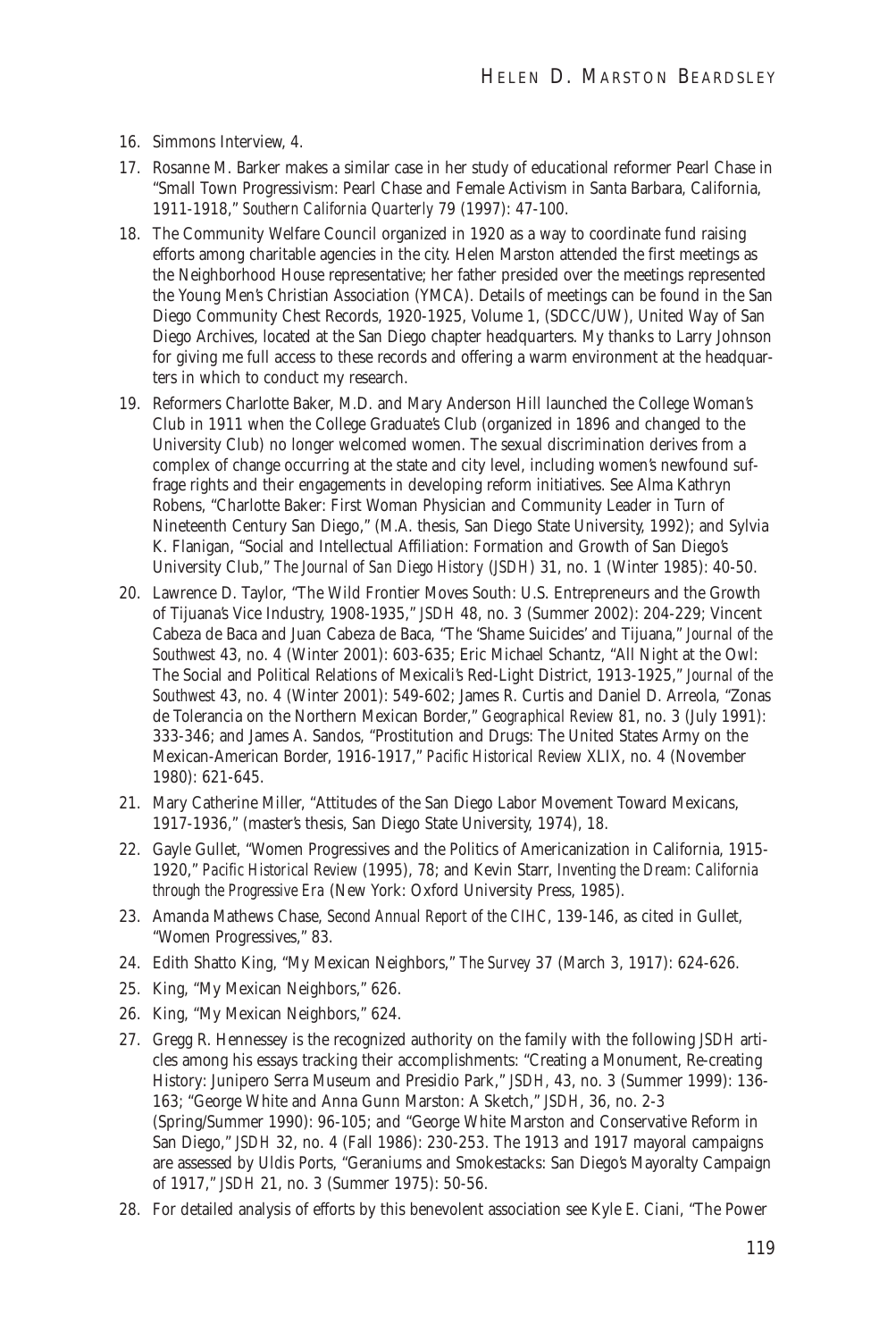- 16. Simmons Interview, 4.
- 17. Rosanne M. Barker makes a similar case in her study of educational reformer Pearl Chase in "Small Town Progressivism: Pearl Chase and Female Activism in Santa Barbara, California, 1911-1918," *Southern California Quarterly* 79 (1997): 47-100.
- 18. The Community Welfare Council organized in 1920 as a way to coordinate fund raising efforts among charitable agencies in the city. Helen Marston attended the first meetings as the Neighborhood House representative; her father presided over the meetings represented the Young Men's Christian Association (YMCA). Details of meetings can be found in the San Diego Community Chest Records, 1920-1925, Volume 1, (SDCC/UW), United Way of San Diego Archives, located at the San Diego chapter headquarters. My thanks to Larry Johnson for giving me full access to these records and offering a warm environment at the headquarters in which to conduct my research.
- 19. Reformers Charlotte Baker, M.D. and Mary Anderson Hill launched the College Woman's Club in 1911 when the College Graduate's Club (organized in 1896 and changed to the University Club) no longer welcomed women. The sexual discrimination derives from a complex of change occurring at the state and city level, including women's newfound suffrage rights and their engagements in developing reform initiatives. See Alma Kathryn Robens, "Charlotte Baker: First Woman Physician and Community Leader in Turn of Nineteenth Century San Diego," (M.A. thesis, San Diego State University, 1992); and Sylvia K. Flanigan, "Social and Intellectual Affiliation: Formation and Growth of San Diego's University Club," *The Journal of San Diego History* (*JSDH*) 31, no. 1 (Winter 1985): 40-50.
- 20. Lawrence D. Taylor, "The Wild Frontier Moves South: U.S. Entrepreneurs and the Growth of Tijuana's Vice Industry, 1908-1935," *JSDH* 48, no. 3 (Summer 2002): 204-229; Vincent Cabeza de Baca and Juan Cabeza de Baca, "The 'Shame Suicides' and Tijuana," *Journal of the Southwest* 43, no. 4 (Winter 2001): 603-635; Eric Michael Schantz, "All Night at the Owl: The Social and Political Relations of Mexicali's Red-Light District, 1913-1925," *Journal of the Southwest* 43, no. 4 (Winter 2001): 549-602; James R. Curtis and Daniel D. Arreola, "Zonas de Tolerancia on the Northern Mexican Border," *Geographical Review* 81, no. 3 (July 1991): 333-346; and James A. Sandos, "Prostitution and Drugs: The United States Army on the Mexican-American Border, 1916-1917," *Pacific Historical Review* XLIX, no. 4 (November 1980): 621-645.
- 21. Mary Catherine Miller, "Attitudes of the San Diego Labor Movement Toward Mexicans, 1917-1936," (master's thesis, San Diego State University, 1974), 18.
- 22. Gayle Gullet, "Women Progressives and the Politics of Americanization in California, 1915- 1920," *Pacific Historical Review* (1995), 78; and Kevin Starr, *Inventing the Dream: California through the Progressive Era* (New York: Oxford University Press, 1985).
- 23. Amanda Mathews Chase, *Second Annual Report of the CIHC*, 139-146, as cited in Gullet, "Women Progressives," 83.
- 24. Edith Shatto King, "My Mexican Neighbors," *The Survey* 37 (March 3, 1917): 624-626.
- 25. King, "My Mexican Neighbors," 626.
- 26. King, "My Mexican Neighbors," 624.
- 27. Gregg R. Hennessey is the recognized authority on the family with the following *JSDH* articles among his essays tracking their accomplishments: "Creating a Monument, Re-creating History: Junipero Serra Museum and Presidio Park," *JSDH,* 43, no. 3 (Summer 1999): 136- 163; "George White and Anna Gunn Marston: A Sketch," *JSDH*, 36, no. 2-3 (Spring/Summer 1990): 96-105; and "George White Marston and Conservative Reform in San Diego," *JSDH* 32, no. 4 (Fall 1986): 230-253. The 1913 and 1917 mayoral campaigns are assessed by Uldis Ports, "Geraniums and Smokestacks: San Diego's Mayoralty Campaign of 1917," *JSDH* 21, no. 3 (Summer 1975): 50-56.
- 28. For detailed analysis of efforts by this benevolent association see Kyle E. Ciani, "The Power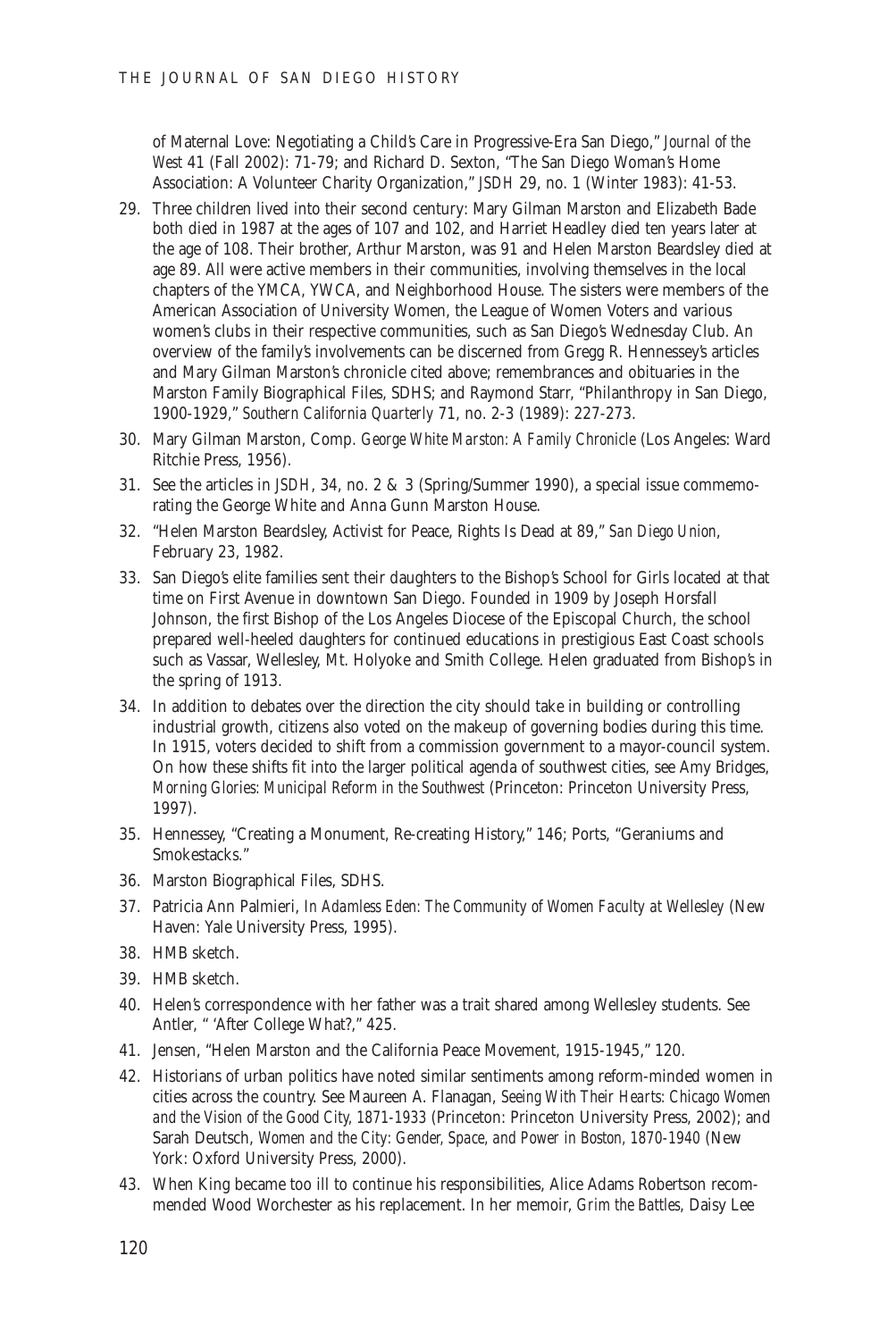of Maternal Love: Negotiating a Child's Care in Progressive-Era San Diego," *Journal of the West* 41 (Fall 2002): 71-79; and Richard D. Sexton, "The San Diego Woman's Home Association: A Volunteer Charity Organization," *JSDH* 29, no. 1 (Winter 1983): 41-53.

- 29. Three children lived into their second century: Mary Gilman Marston and Elizabeth Bade both died in 1987 at the ages of 107 and 102, and Harriet Headley died ten years later at the age of 108. Their brother, Arthur Marston, was 91 and Helen Marston Beardsley died at age 89. All were active members in their communities, involving themselves in the local chapters of the YMCA, YWCA, and Neighborhood House. The sisters were members of the American Association of University Women, the League of Women Voters and various women's clubs in their respective communities, such as San Diego's Wednesday Club. An overview of the family's involvements can be discerned from Gregg R. Hennessey's articles and Mary Gilman Marston's chronicle cited above; remembrances and obituaries in the Marston Family Biographical Files, SDHS; and Raymond Starr, "Philanthropy in San Diego, 1900-1929," *Southern California Quarterly* 71, no. 2-3 (1989): 227-273.
- 30. Mary Gilman Marston, Comp. *George White Marston: A Family Chronicle* (Los Angeles: Ward Ritchie Press, 1956).
- 31. See the articles in *JSDH*, 34, no. 2 & 3 (Spring/Summer 1990), a special issue commemorating the George White and Anna Gunn Marston House.
- 32. "Helen Marston Beardsley, Activist for Peace, Rights Is Dead at 89," *San Diego Union*, February 23, 1982.
- 33. San Diego's elite families sent their daughters to the Bishop's School for Girls located at that time on First Avenue in downtown San Diego. Founded in 1909 by Joseph Horsfall Johnson, the first Bishop of the Los Angeles Diocese of the Episcopal Church, the school prepared well-heeled daughters for continued educations in prestigious East Coast schools such as Vassar, Wellesley, Mt. Holyoke and Smith College. Helen graduated from Bishop's in the spring of 1913.
- 34. In addition to debates over the direction the city should take in building or controlling industrial growth, citizens also voted on the makeup of governing bodies during this time. In 1915, voters decided to shift from a commission government to a mayor-council system. On how these shifts fit into the larger political agenda of southwest cities, see Amy Bridges, *Morning Glories: Municipal Reform in the Southwest* (Princeton: Princeton University Press, 1997).
- 35. Hennessey, "Creating a Monument, Re-creating History," 146; Ports, "Geraniums and Smokestacks."
- 36. Marston Biographical Files, SDHS.
- 37. Patricia Ann Palmieri, *In Adamless Eden: The Community of Women Faculty at Wellesley* (New Haven: Yale University Press, 1995).
- 38. HMB sketch.
- 39. HMB sketch.
- 40. Helen's correspondence with her father was a trait shared among Wellesley students. See Antler, " 'After College What?," 425.
- 41. Jensen, "Helen Marston and the California Peace Movement, 1915-1945," 120.
- 42. Historians of urban politics have noted similar sentiments among reform-minded women in cities across the country. See Maureen A. Flanagan, *Seeing With Their Hearts: Chicago Women and the Vision of the Good City, 1871-1933* (Princeton: Princeton University Press, 2002); and Sarah Deutsch, *Women and the City: Gender, Space, and Power in Boston, 1870-1940* (New York: Oxford University Press, 2000).
- 43. When King became too ill to continue his responsibilities, Alice Adams Robertson recommended Wood Worchester as his replacement. In her memoir, *Grim the Battles*, Daisy Lee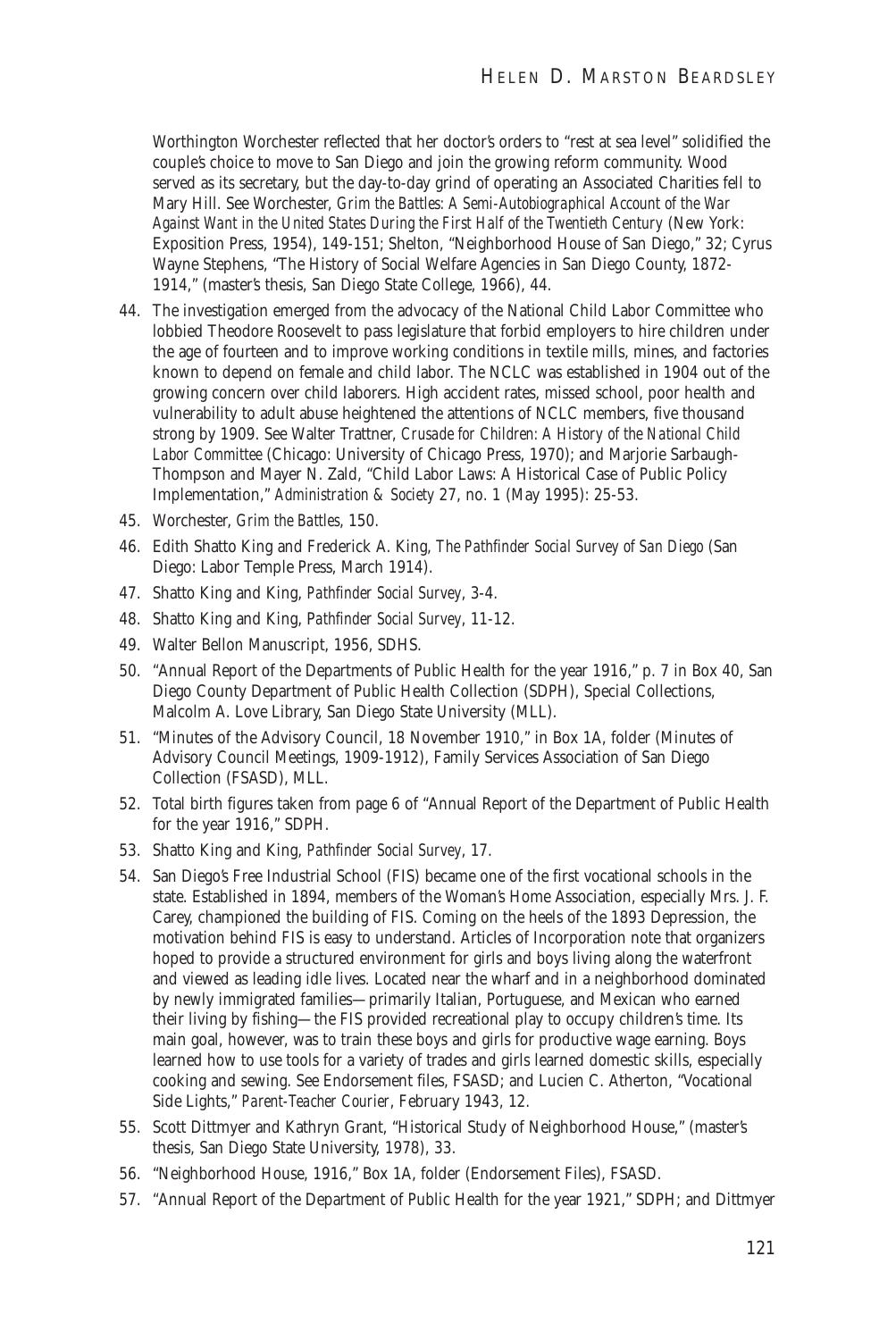Worthington Worchester reflected that her doctor's orders to "rest at sea level" solidified the couple's choice to move to San Diego and join the growing reform community. Wood served as its secretary, but the day-to-day grind of operating an Associated Charities fell to Mary Hill. See Worchester, *Grim the Battles: A Semi-Autobiographical Account of the War Against Want in the United States During the First Half of the Twentieth Century* (New York: Exposition Press, 1954), 149-151; Shelton, "Neighborhood House of San Diego," 32; Cyrus Wayne Stephens, "The History of Social Welfare Agencies in San Diego County, 1872- 1914," (master's thesis, San Diego State College, 1966), 44.

- 44. The investigation emerged from the advocacy of the National Child Labor Committee who lobbied Theodore Roosevelt to pass legislature that forbid employers to hire children under the age of fourteen and to improve working conditions in textile mills, mines, and factories known to depend on female and child labor. The NCLC was established in 1904 out of the growing concern over child laborers. High accident rates, missed school, poor health and vulnerability to adult abuse heightened the attentions of NCLC members, five thousand strong by 1909. See Walter Trattner, *Crusade for Children: A History of the National Child Labor Committee* (Chicago: University of Chicago Press, 1970); and Marjorie Sarbaugh-Thompson and Mayer N. Zald, "Child Labor Laws: A Historical Case of Public Policy Implementation," *Administration & Society* 27, no. 1 (May 1995): 25-53.
- 45. Worchester, *Grim the Battles*, 150.
- 46. Edith Shatto King and Frederick A. King, *The Pathfinder Social Survey of San Diego* (San Diego: Labor Temple Press, March 1914).
- 47. Shatto King and King, *Pathfinder Social Survey*, 3-4.
- 48. Shatto King and King, P*athfinder Social Survey*, 11-12.
- 49. Walter Bellon Manuscript, 1956, SDHS.
- 50. "Annual Report of the Departments of Public Health for the year 1916," p. 7 in Box 40, San Diego County Department of Public Health Collection (SDPH), Special Collections, Malcolm A. Love Library, San Diego State University (MLL).
- 51. "Minutes of the Advisory Council, 18 November 1910," in Box 1A, folder (Minutes of Advisory Council Meetings, 1909-1912), Family Services Association of San Diego Collection (FSASD), MLL.
- 52. Total birth figures taken from page 6 of "Annual Report of the Department of Public Health for the year 1916," SDPH.
- 53. Shatto King and King, *Pathfinder Social Survey*, 17.
- 54. San Diego's Free Industrial School (FIS) became one of the first vocational schools in the state. Established in 1894, members of the Woman's Home Association, especially Mrs. J. F. Carey, championed the building of FIS. Coming on the heels of the 1893 Depression, the motivation behind FIS is easy to understand. Articles of Incorporation note that organizers hoped to provide a structured environment for girls and boys living along the waterfront and viewed as leading idle lives. Located near the wharf and in a neighborhood dominated by newly immigrated families—primarily Italian, Portuguese, and Mexican who earned their living by fishing—the FIS provided recreational play to occupy children's time. Its main goal, however, was to train these boys and girls for productive wage earning. Boys learned how to use tools for a variety of trades and girls learned domestic skills, especially cooking and sewing. See Endorsement files, FSASD; and Lucien C. Atherton, "Vocational Side Lights," *Parent-Teacher Courier*, February 1943, 12.
- 55. Scott Dittmyer and Kathryn Grant, "Historical Study of Neighborhood House," (master's thesis, San Diego State University, 1978), 33.
- 56. "Neighborhood House, 1916," Box 1A, folder (Endorsement Files), FSASD.
- 57. "Annual Report of the Department of Public Health for the year 1921," SDPH; and Dittmyer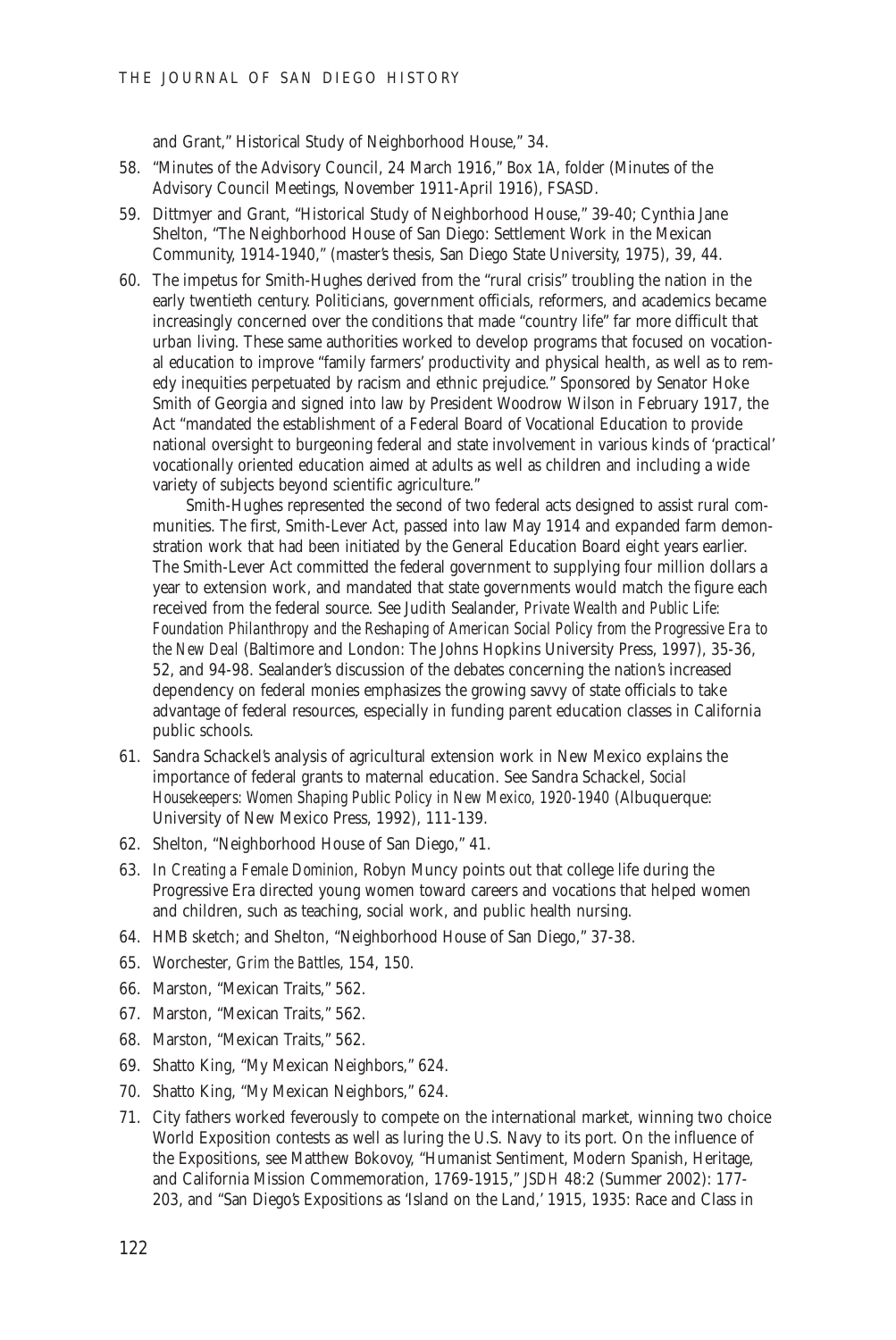and Grant," Historical Study of Neighborhood House," 34.

- 58. "Minutes of the Advisory Council, 24 March 1916," Box 1A, folder (Minutes of the Advisory Council Meetings, November 1911-April 1916), FSASD.
- 59. Dittmyer and Grant, "Historical Study of Neighborhood House," 39-40; Cynthia Jane Shelton, "The Neighborhood House of San Diego: Settlement Work in the Mexican Community, 1914-1940," (master's thesis, San Diego State University, 1975), 39, 44.
- 60. The impetus for Smith-Hughes derived from the "rural crisis" troubling the nation in the early twentieth century. Politicians, government officials, reformers, and academics became increasingly concerned over the conditions that made "country life" far more difficult that urban living. These same authorities worked to develop programs that focused on vocational education to improve "family farmers' productivity and physical health, as well as to remedy inequities perpetuated by racism and ethnic prejudice." Sponsored by Senator Hoke Smith of Georgia and signed into law by President Woodrow Wilson in February 1917, the Act "mandated the establishment of a Federal Board of Vocational Education to provide national oversight to burgeoning federal and state involvement in various kinds of 'practical' vocationally oriented education aimed at adults as well as children and including a wide variety of subjects beyond scientific agriculture."

Smith-Hughes represented the second of two federal acts designed to assist rural communities. The first, Smith-Lever Act, passed into law May 1914 and expanded farm demonstration work that had been initiated by the General Education Board eight years earlier. The Smith-Lever Act committed the federal government to supplying four million dollars a year to extension work, and mandated that state governments would match the figure each received from the federal source. See Judith Sealander, *Private Wealth and Public Life: Foundation Philanthropy and the Reshaping of American Social Policy from the Progressive Era to the New Deal* (Baltimore and London: The Johns Hopkins University Press, 1997), 35-36, 52, and 94-98. Sealander's discussion of the debates concerning the nation's increased dependency on federal monies emphasizes the growing savvy of state officials to take advantage of federal resources, especially in funding parent education classes in California public schools.

- 61. Sandra Schackel's analysis of agricultural extension work in New Mexico explains the importance of federal grants to maternal education. See Sandra Schackel, *Social Housekeepers: Women Shaping Public Policy in New Mexico, 1920-1940* (Albuquerque: University of New Mexico Press, 1992), 111-139.
- 62. Shelton, "Neighborhood House of San Diego," 41.
- 63. In *Creating a Female Dominion*, Robyn Muncy points out that college life during the Progressive Era directed young women toward careers and vocations that helped women and children, such as teaching, social work, and public health nursing.
- 64. HMB sketch; and Shelton, "Neighborhood House of San Diego," 37-38.
- 65. Worchester, *Grim the Battles*, 154, 150.
- 66. Marston, "Mexican Traits," 562.
- 67. Marston, "Mexican Traits," 562.
- 68. Marston, "Mexican Traits," 562.
- 69. Shatto King, "My Mexican Neighbors," 624.
- 70. Shatto King, "My Mexican Neighbors," 624.
- 71. City fathers worked feverously to compete on the international market, winning two choice World Exposition contests as well as luring the U.S. Navy to its port. On the influence of the Expositions, see Matthew Bokovoy, "Humanist Sentiment, Modern Spanish, Heritage, and California Mission Commemoration, 1769-1915," *JSDH* 48:2 (Summer 2002): 177- 203, and "San Diego's Expositions as 'Island on the Land,' 1915, 1935: Race and Class in